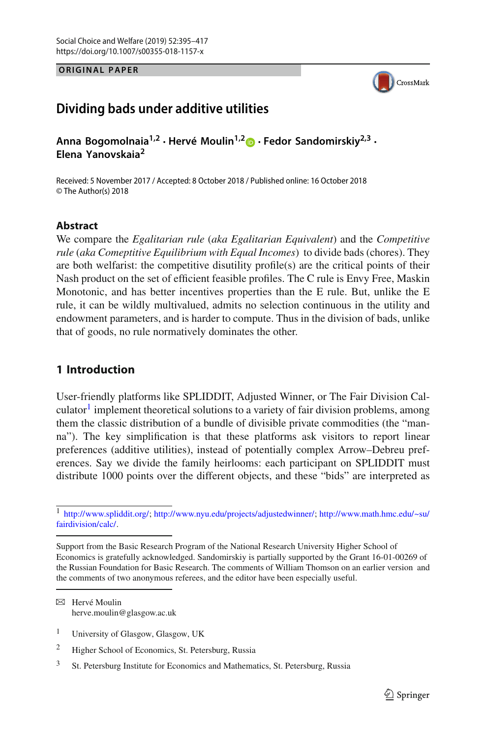**ORIGINAL PAPER**



# **Dividing bads under additive utilities**

**Anna Bogomolnaia1,2 · Hervé Moulin1,[2](http://orcid.org/0000-0003-3358-6290) · Fedor Sandomirskiy2,3 · Elena Yanovskaia<sup>2</sup>**

Received: 5 November 2017 / Accepted: 8 October 2018 / Published online: 16 October 2018 © The Author(s) 2018

## **Abstract**

We compare the *Egalitarian rule* (*aka Egalitarian Equivalent*) and the *Competitive rule* (*aka Comeptitive Equilibrium with Equal Incomes*) to divide bads (chores). They are both welfarist: the competitive disutility profile(s) are the critical points of their Nash product on the set of efficient feasible profiles. The C rule is Envy Free, Maskin Monotonic, and has better incentives properties than the E rule. But, unlike the E rule, it can be wildly multivalued, admits no selection continuous in the utility and endowment parameters, and is harder to compute. Thus in the division of bads, unlike that of goods, no rule normatively dominates the other.

## **1 Introduction**

User-friendly platforms like SPLIDDIT, Adjusted Winner, or The Fair Division Calculator<sup>1</sup> implement theoretical solutions to a variety of fair division problems, among them the classic distribution of a bundle of divisible private commodities (the "manna"). The key simplification is that these platforms ask visitors to report linear preferences (additive utilities), instead of potentially complex Arrow–Debreu preferences. Say we divide the family heirlooms: each participant on SPLIDDIT must distribute 1000 points over the different objects, and these "bids" are interpreted as

 $\boxtimes$  Hervé Moulin herve.moulin@glasgow.ac.uk

<sup>1</sup> [http://www.spliddit.org/;](http://www.spliddit.org/) [http://www.nyu.edu/projects/adjustedwinner/;](http://www.nyu.edu/projects/adjustedwinner/) [http://www.math.hmc.edu/~su/](http://www.math.hmc.edu/~su/fairdivision/calc/) [fairdivision/calc/.](http://www.math.hmc.edu/~su/fairdivision/calc/)

Support from the Basic Research Program of the National Research University Higher School of Economics is gratefully acknowledged. Sandomirskiy is partially supported by the Grant 16-01-00269 of the Russian Foundation for Basic Research. The comments of William Thomson on an earlier version and the comments of two anonymous referees, and the editor have been especially useful.

<sup>1</sup> University of Glasgow, Glasgow, UK

<sup>2</sup> Higher School of Economics, St. Petersburg, Russia

<sup>&</sup>lt;sup>3</sup> St. Petersburg Institute for Economics and Mathematics, St. Petersburg, Russia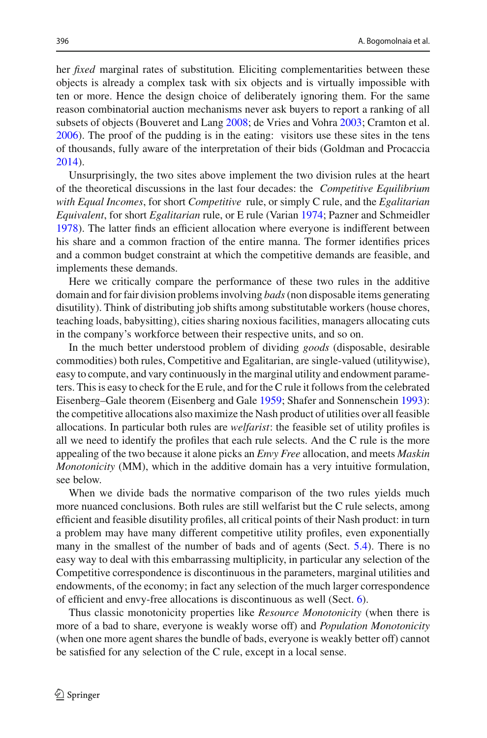her *fixed* marginal rates of substitution*.* Eliciting complementarities between these objects is already a complex task with six objects and is virtually impossible with ten or more. Hence the design choice of deliberately ignoring them. For the same reason combinatorial auction mechanisms never ask buyers to report a ranking of all subsets of objects (Bouveret and Lan[g](#page-22-0) [2008;](#page-22-0) de Vries and Vohr[a](#page-22-1) [2003;](#page-22-1) Cramton et al[.](#page-22-2) [2006\)](#page-22-2). The proof of the pudding is in the eating: visitors use these sites in the tens of thousands, fully aware of the interpretation of their bids (Goldman and Procacci[a](#page-22-3) [2014\)](#page-22-3).

Unsurprisingly, the two sites above implement the two division rules at the heart of the theoretical discussions in the last four decades: the *Competitive Equilibrium with Equal Incomes*, for short *Competitive* rule, or simply C rule, and the *Egalitarian Equivalent*, for short *Egalitarian* rule, or E rule (Varia[n](#page-22-4) [1974;](#page-22-4) Pazner and Schmeidle[r](#page-22-5) [1978\)](#page-22-5). The latter finds an efficient allocation where everyone is indifferent between his share and a common fraction of the entire manna. The former identifies prices and a common budget constraint at which the competitive demands are feasible, and implements these demands.

Here we critically compare the performance of these two rules in the additive domain and for fair division problems involving *bads*(non disposable items generating disutility). Think of distributing job shifts among substitutable workers (house chores, teaching loads, babysitting), cities sharing noxious facilities, managers allocating cuts in the company's workforce between their respective units, and so on.

In the much better understood problem of dividing *goods* (disposable, desirable commodities) both rules, Competitive and Egalitarian, are single-valued (utilitywise), easy to compute, and vary continuously in the marginal utility and endowment parameters. This is easy to check for the E rule, and for the C rule it follows from the celebrated Eisenberg–Gale theorem (Eisenberg and Gal[e](#page-22-6) [1959](#page-22-6); Shafer and Sonnenschei[n](#page-22-7) [1993\)](#page-22-7): the competitive allocations also maximize the Nash product of utilities over all feasible allocations. In particular both rules are *welfarist*: the feasible set of utility profiles is all we need to identify the profiles that each rule selects. And the C rule is the more appealing of the two because it alone picks an *Envy Free* allocation, and meets *Maskin Monotonicity* (MM), which in the additive domain has a very intuitive formulation, see below.

When we divide bads the normative comparison of the two rules yields much more nuanced conclusions. Both rules are still welfarist but the C rule selects, among efficient and feasible disutility profiles, all critical points of their Nash product: in turn a problem may have many different competitive utility profiles, even exponentially many in the smallest of the number of bads and of agents (Sect. [5.4\)](#page-13-0). There is no easy way to deal with this embarrassing multiplicity, in particular any selection of the Competitive correspondence is discontinuous in the parameters, marginal utilities and endowments, of the economy; in fact any selection of the much larger correspondence of efficient and envy-free allocations is discontinuous as well (Sect. [6\)](#page-15-0).

Thus classic monotonicity properties like *Resource Monotonicity* (when there is more of a bad to share, everyone is weakly worse off) and *Population Monotonicity* (when one more agent shares the bundle of bads, everyone is weakly better off) cannot be satisfied for any selection of the C rule, except in a local sense.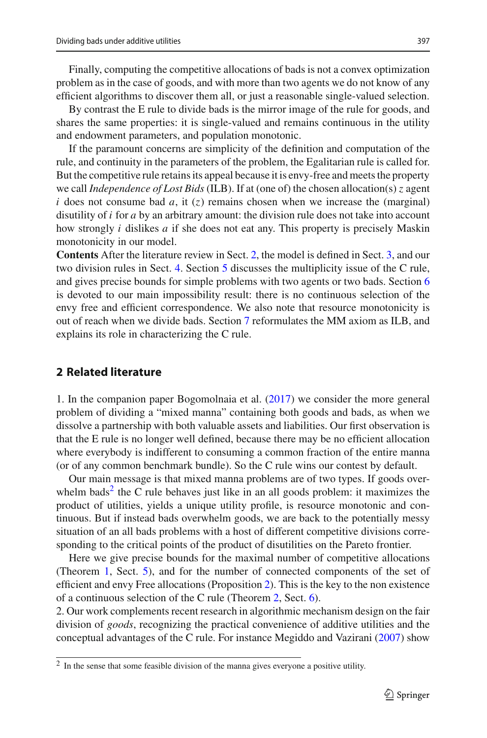Finally, computing the competitive allocations of bads is not a convex optimization problem as in the case of goods, and with more than two agents we do not know of any efficient algorithms to discover them all, or just a reasonable single-valued selection.

By contrast the E rule to divide bads is the mirror image of the rule for goods, and shares the same properties: it is single-valued and remains continuous in the utility and endowment parameters, and population monotonic.

If the paramount concerns are simplicity of the definition and computation of the rule, and continuity in the parameters of the problem, the Egalitarian rule is called for. But the competitive rule retains its appeal because it is envy-free and meets the property we call *Independence of Lost Bids* (ILB). If at (one of) the chosen allocation(s) *z* agent *i* does not consume bad *a*, it  $(z)$  remains chosen when we increase the (marginal) disutility of *i* for *a* by an arbitrary amount: the division rule does not take into account how strongly *i* dislikes *a* if she does not eat any. This property is precisely Maskin monotonicity in our model.

**Contents** After the literature review in Sect. [2,](#page-2-0) the model is defined in Sect. [3,](#page-3-0) and our two division rules in Sect. [4.](#page-5-0) Section [5](#page-8-0) discusses the multiplicity issue of the C rule, and gives precise bounds for simple problems with two agents or two bads. Section [6](#page-15-0) is devoted to our main impossibility result: there is no continuous selection of the envy free and efficient correspondence. We also note that resource monotonicity is out of reach when we divide bads. Section [7](#page-20-0) reformulates the MM axiom as ILB, and explains its role in characterizing the C rule.

## <span id="page-2-0"></span>**2 Related literature**

1. In the companion paper Bogomolnaia et al[.](#page-22-8) [\(2017\)](#page-22-8) we consider the more general problem of dividing a "mixed manna" containing both goods and bads, as when we dissolve a partnership with both valuable assets and liabilities. Our first observation is that the E rule is no longer well defined, because there may be no efficient allocation where everybody is indifferent to consuming a common fraction of the entire manna (or of any common benchmark bundle). So the C rule wins our contest by default.

Our main message is that mixed manna problems are of two types. If goods over-whelm bads<sup>[2](#page-2-1)</sup> the C rule behaves just like in an all goods problem: it maximizes the product of utilities, yields a unique utility profile, is resource monotonic and continuous. But if instead bads overwhelm goods, we are back to the potentially messy situation of an all bads problems with a host of different competitive divisions corresponding to the critical points of the product of disutilities on the Pareto frontier.

Here we give precise bounds for the maximal number of competitive allocations (Theorem [1,](#page-9-0) Sect. [5\)](#page-8-0), and for the number of connected components of the set of efficient and envy Free allocations (Proposition [2\)](#page-16-0). This is the key to the non existence of a continuous selection of the C rule (Theorem [2,](#page-15-1) Sect. [6\)](#page-15-0).

2. Our work complements recent research in algorithmic mechanism design on the fair division of *goods*, recognizing the practical convenience of additive utilities and the conceptual advantages of the C rule. For instance Megiddo and Vaziran[i](#page-22-9) [\(2007\)](#page-22-9) show

<span id="page-2-1"></span><sup>2</sup> In the sense that some feasible division of the manna gives everyone a positive utility.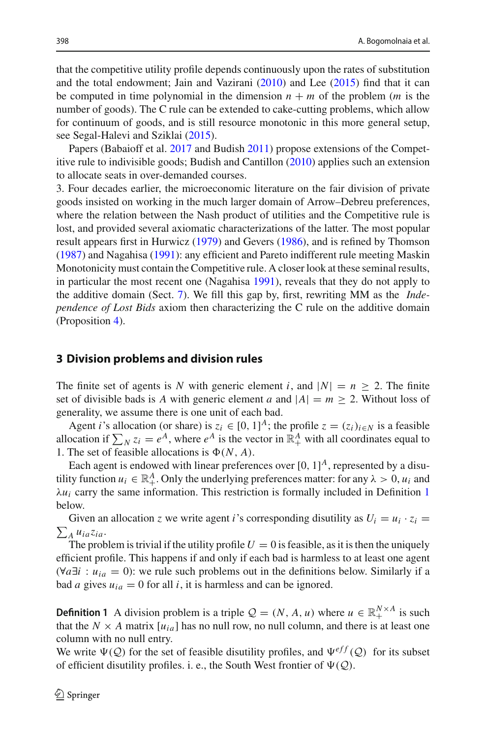that the competitive utility profile depends continuously upon the rates of substitution and the total endowment; Jain and Vaziran[i](#page-22-10) [\(2010\)](#page-22-10) and Le[e](#page-22-11) [\(2015](#page-22-11)) find that it can be computed in time polynomial in the dimension  $n + m$  of the problem (*m* is the number of goods). The C rule can be extended to cake-cutting problems, which allow for continuum of goods, and is still resource monotonic in this more general setup, see Segal-Halevi and Szikla[i](#page-22-12) [\(2015](#page-22-12)).

Papers (Babaioff et al[.](#page-22-13) [2017](#page-22-13) and Budis[h](#page-22-14) [2011](#page-22-14)) propose extensions of the Competitive rule to indivisible goods; Budish and Cantillo[n](#page-22-15) [\(2010](#page-22-15)) applies such an extension to allocate seats in over-demanded courses.

3. Four decades earlier, the microeconomic literature on the fair division of private goods insisted on working in the much larger domain of Arrow–Debreu preferences, where the relation between the Nash product of utilities and the Competitive rule is lost, and provided several axiomatic characterizations of the latter. The most popular result appears first in Hurwic[z](#page-22-16) [\(1979\)](#page-22-16) and Gever[s](#page-22-17) [\(1986](#page-22-17)), and is refined by Thomso[n](#page-22-18) [\(1987\)](#page-22-18) and Nagahis[a](#page-22-19) [\(1991\)](#page-22-19): any efficient and Pareto indifferent rule meeting Maskin Monotonicity must contain the Competitive rule. A closer look at these seminal results, in particular the most recent one (Nagahis[a](#page-22-19) [1991\)](#page-22-19), reveals that they do not apply to the additive domain (Sect. [7\)](#page-20-0). We fill this gap by, first, rewriting MM as the *Independence of Lost Bids* axiom then characterizing the C rule on the additive domain (Proposition [4\)](#page-21-0).

## <span id="page-3-0"></span>**3 Division problems and division rules**

The finite set of agents is *N* with generic element *i*, and  $|N| = n \ge 2$ . The finite set of divisible bads is *A* with generic element *a* and  $|A| = m \ge 2$ . Without loss of generality, we assume there is one unit of each bad.

Agent *i*'s allocation (or share) is  $z_i \in [0, 1]^A$ ; the profile  $z = (z_i)_{i \in N}$  is a feasible allocation if  $\sum_{N} z_i = e^{A}$ , where  $e^{A}$  is the vector in  $\mathbb{R}^A_+$  with all coordinates equal to 1. The set of feasible allocations is  $\Phi(N, A)$ .

Each agent is endowed with linear preferences over  $[0, 1]^A$ , represented by a disutility function  $u_i \in \mathbb{R}^A_+$ . Only the underlying preferences matter: for any  $\lambda > 0$ ,  $u_i$  and  $\lambda u_i$  carry the same information. This restriction is formally included in Definition [1](#page-3-1) below.

Given an allocation *z* we write agent *i*'s corresponding disutility as  $U_i = u_i \cdot z_i$  $\sum_{A} u_{ia} z_{ia}.$ 

The problem is trivial if the utility profile  $U = 0$  is feasible, as it is then the uniquely efficient profile. This happens if and only if each bad is harmless to at least one agent  $(\forall a \exists i : u_{ia} = 0)$ : we rule such problems out in the definitions below. Similarly if a bad *a* gives  $u_{ia} = 0$  for all *i*, it is harmless and can be ignored.

<span id="page-3-1"></span>**Definition 1** A division problem is a triple  $\mathcal{Q} = (N, A, u)$  where  $u \in \mathbb{R}_+^{N \times A}$  is such that the  $N \times A$  matrix  $[u_{ia}]$  has no null row, no null column, and there is at least one column with no null entry.

We write  $\Psi(Q)$  for the set of feasible disutility profiles, and  $\Psi^{eff}(Q)$  for its subset of efficient disutility profiles. i. e., the South West frontier of  $\Psi(Q)$ .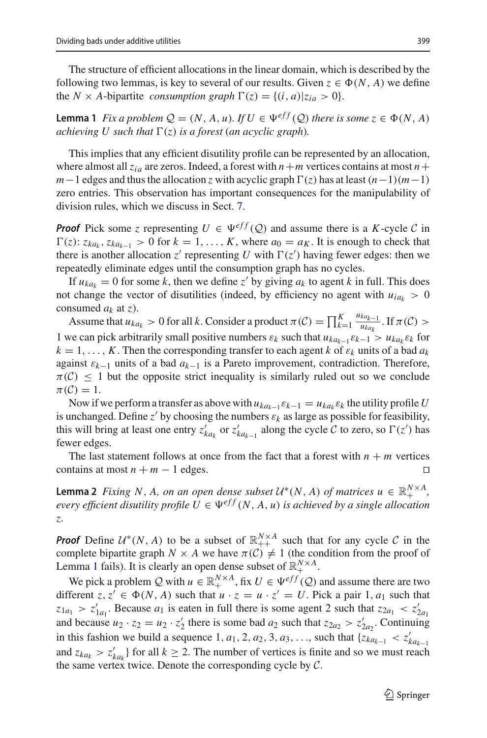The structure of efficient allocations in the linear domain, which is described by the following two lemmas, is key to several of our results. Given  $z \in \Phi(N, A)$  we define the *N* × *A*-bipartite *consumption graph*  $\Gamma(z) = \{(i, a) | z_{ia} > 0 \}.$ 

<span id="page-4-0"></span>**Lemma 1** *Fix a problem*  $Q = (N, A, u)$ *. If*  $U \in \Psi^{eff}(Q)$  *there is some*  $z \in \Phi(N, A)$ *achieving U such that*  $\Gamma(z)$  *is a forest* (*an acyclic graph*).

This implies that any efficient disutility profile can be represented by an allocation, where almost all  $z_{ia}$  are zeros. Indeed, a forest with  $n+m$  vertices contains at most  $n+$  $m-1$  edges and thus the allocation *z* with acyclic graph  $\Gamma(z)$  has at least  $(n-1)(m-1)$ zero entries. This observation has important consequences for the manipulability of division rules, which we discuss in Sect. [7.](#page-20-0)

*Proof* Pick some *z* representing  $U \in \Psi^{eff}(Q)$  and assume there is a *K*-cycle *C* in  $\Gamma(z)$ :  $z_{ka_k}$ ,  $z_{ka_{k-1}} > 0$  for  $k = 1, ..., K$ , where  $a_0 = a_K$ . It is enough to check that there is another allocation  $z'$  representing U with  $\Gamma(z')$  having fewer edges: then we repeatedly eliminate edges until the consumption graph has no cycles.

If  $u_{ka_k} = 0$  for some k, then we define z' by giving  $a_k$  to agent k in full. This does not change the vector of disutilities (indeed, by efficiency no agent with  $u_{ia_k} > 0$ consumed *ak* at *z*).

Assume that  $u_{ka_k} > 0$  for all *k*. Consider a product  $\pi(C) = \prod_{k=1}^{K} \frac{u_{ka_{k-1}}}{u_{ka_k}}$  $\frac{m_{k-1}}{u_{ka_k}}$ . If  $\pi(\mathcal{C}) >$ 1 we can pick arbitrarily small positive numbers  $\varepsilon_k$  such that  $u_{ka_{k-1}}\varepsilon_{k-1} > u_{ka_k}\varepsilon_k$  for  $k = 1, \ldots, K$ . Then the corresponding transfer to each agent *k* of  $\varepsilon_k$  units of a bad  $a_k$ against ε*k*−<sup>1</sup> units of a bad *ak*−<sup>1</sup> is a Pareto improvement, contradiction. Therefore,  $\pi(\mathcal{C}) \leq 1$  but the opposite strict inequality is similarly ruled out so we conclude  $\pi(\mathcal{C})=1.$ 

Now if we perform a transfer as above with  $u_{ka_{k-1}} \varepsilon_{k-1} = u_{ka_k} \varepsilon_k$  the utility profile *U* is unchanged. Define  $z'$  by choosing the numbers  $\varepsilon_k$  as large as possible for feasibility, this will bring at least one entry  $z'_{ka_k}$  or  $z'_{ka_{k-1}}$  along the cycle  $C$  to zero, so  $\Gamma(z')$  has fewer edges.

The last statement follows at once from the fact that a forest with  $n + m$  vertices trains at most  $n + m - 1$  edges. contains at most  $n + m - 1$  edges.

**Lemma 2** *Fixing N*, *A*, *on an open dense subset*  $U^*(N, A)$  *of matrices*  $u \in \mathbb{R}_+^{N \times A}$ , *every efficient disutility profile*  $U \in \Psi^{eff}(N, A, u)$  *is achieved by a single allocation z.*

*Proof* Define  $U^*(N, A)$  to be a subset of  $\mathbb{R}_{++}^{N \times A}$  such that for any cycle *C* in the complete bipartite graph  $N \times A$  we have  $\pi(\mathcal{C}) \neq 1$  (the condition from the proof of Lemma [1](#page-4-0) fails). It is clearly an open dense subset of  $\mathbb{R}^{N \times A}_{+}$ .

We pick a problem *Q* with  $u \in \mathbb{R}_+^{N \times A}$ , fix  $U \in \Psi^{eff}(\mathcal{Q})$  and assume there are two different  $z, z' \in \Phi(N, A)$  such that  $u \cdot z = u \cdot z' = U$ . Pick a pair 1,  $a_1$  such that  $z_{1a_1} > z'_{1a_1}$ . Because  $a_1$  is eaten in full there is some agent 2 such that  $z_{2a_1} < z'_{2a_1}$ and because  $u_2 \cdot z_2 = u_2 \cdot z'_2$  there is some bad  $a_2$  such that  $z_{2a_2} > z'_{2a_2}$ . Continuing in this fashion we build a sequence 1,  $a_1$ , 2,  $a_2$ , 3,  $a_3$ , ..., such that  $\{z_{ka_{k-1}} < z'_{ka_{k-1}}\}$ and  $z_{ka_k} > z'_{ka_k}$  for all  $k \ge 2$ . The number of vertices is finite and so we must reach the same vertex twice. Denote the corresponding cycle by *C*.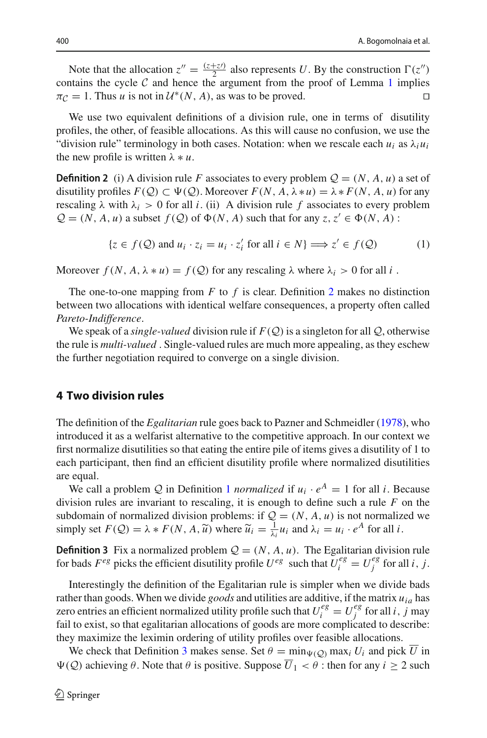Note that the allocation  $z'' = \frac{(z+z)}{2}$  also represents *U*. By the construction  $\Gamma(z'')$ contains the cycle *C* and hence the argument from the proof of Lemma [1](#page-4-0) implies  $\pi c = 1$ . Thus *u* is not in  $U^*(N, A)$  as was to be proved  $\pi$ <sup>*C*</sup> = 1. Thus *u* is not in  $\mathcal{U}^*(N, A)$ , as was to be proved.

We use two equivalent definitions of a division rule, one in terms of disutility profiles, the other, of feasible allocations. As this will cause no confusion, we use the "division rule" terminology in both cases. Notation: when we rescale each  $u_i$  as  $\lambda_i u_i$ the new profile is written  $\lambda * u$ .

<span id="page-5-1"></span>**Definition 2** (i) A division rule *F* associates to every problem  $Q = (N, A, u)$  a set of disutility profiles  $F(Q) \subset \Psi(Q)$ . Moreover  $F(N, A, \lambda * u) = \lambda * F(N, A, u)$  for any rescaling  $\lambda$  with  $\lambda_i > 0$  for all *i*. (ii) A division rule f associates to every problem  $Q = (N, A, u)$  a subset  $f(Q)$  of  $\Phi(N, A)$  such that for any  $z, z' \in \Phi(N, A)$ :

$$
\{z \in f(\mathcal{Q}) \text{ and } u_i \cdot z_i = u_i \cdot z'_i \text{ for all } i \in N\} \Longrightarrow z' \in f(\mathcal{Q})
$$
 (1)

Moreover  $f(N, A, \lambda * u) = f(Q)$  for any rescaling  $\lambda$  where  $\lambda_i > 0$  for all *i*.

The one-to-one mapping from  $F$  to  $f$  is clear. Definition [2](#page-5-1) makes no distinction between two allocations with identical welfare consequences, a property often called *Pareto-Indifference*.

We speak of a *single-valued* division rule if  $F(Q)$  is a singleton for all Q, otherwise the rule is *multi-valued* . Single-valued rules are much more appealing, as they eschew the further negotiation required to converge on a single division.

## <span id="page-5-0"></span>**4 Two division rules**

The definition of the *Egalitarian* rule goes back to Pazner and Schmeidle[r](#page-22-5) [\(1978](#page-22-5)), who introduced it as a welfarist alternative to the competitive approach. In our context we first normalize disutilities so that eating the entire pile of items gives a disutility of 1 to each participant, then find an efficient disutility profile where normalized disutilities are equal.

We call a problem *Q* in Definition [1](#page-3-1) *normalized* if  $u_i \cdot e^A = 1$  for all *i*. Because division rules are invariant to rescaling, it is enough to define such a rule *F* on the subdomain of normalized division problems: if  $Q = (N, A, u)$  is not normalized we simply set  $F(Q) = \lambda * F(N, A, \tilde{u})$  where  $\tilde{u}_i = \frac{1}{\lambda_i} u_i$  and  $\lambda_i = u_i \cdot e^A$  for all *i*.

<span id="page-5-2"></span>**Definition 3** Fix a normalized problem  $Q = (N, A, u)$ . The Egalitarian division rule for bads  $F^{eg}$  picks the efficient disutility profile  $U^{eg}$  such that  $U_i^{eg} = U_j^{eg}$  for all *i*, *j*.

Interestingly the definition of the Egalitarian rule is simpler when we divide bads rather than goods. When we divide *goods* and utilities are additive, if the matrix *uia* has zero entries an efficient normalized utility profile such that  $U_i^{eg} = U_j^{eg}$  for all *i*, *j* may fail to exist, so that egalitarian allocations of goods are more complicated to describe: they maximize the leximin ordering of utility profiles over feasible allocations.

We check that Definition [3](#page-5-2) makes sense. Set  $\theta = \min_{\Psi(Q)} \max_i U_i$  and pick  $\overline{U}$  in  $\Psi(\mathcal{Q})$  achieving  $\theta$ . Note that  $\theta$  is positive. Suppose  $\overline{U}_1 < \theta$  : then for any  $i \geq 2$  such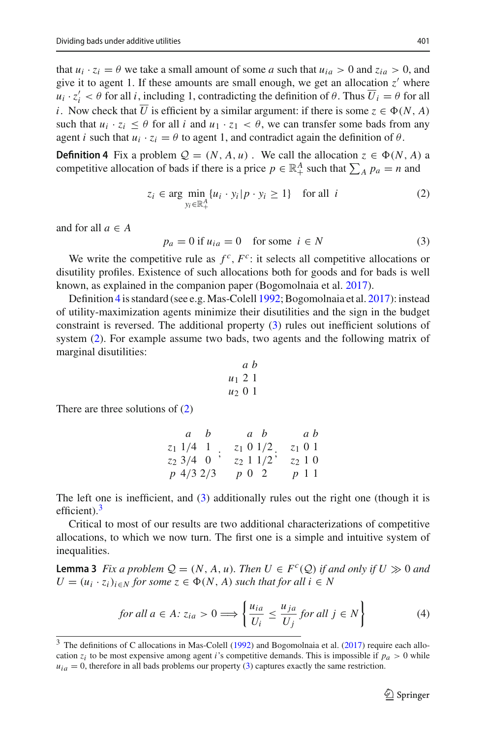that  $u_i \cdot z_i = \theta$  we take a small amount of some *a* such that  $u_{ia} > 0$  and  $z_{ia} > 0$ , and give it to agent 1. If these amounts are small enough, we get an allocation  $z'$  where  $u_i \cdot z'_i < \theta$  for all *i*, including 1, contradicting the definition of  $\theta$ . Thus  $U_i = \theta$  for all *i*. Now check that *U* is efficient by a similar argument: if there is some  $z \in \Phi(N, A)$ such that  $u_i \cdot z_i \leq \theta$  for all *i* and  $u_1 \cdot z_1 < \theta$ , we can transfer some bads from any agent *i* such that  $u_i \cdot z_i = \theta$  to agent 1, and contradict again the definition of  $\theta$ .

<span id="page-6-0"></span>**Definition 4** Fix a problem  $Q = (N, A, u)$ . We call the allocation  $z \in \Phi(N, A)$  a competitive allocation of bads if there is a price  $p \in \mathbb{R}^A_+$  such that  $\sum_A p_a = n$  and

<span id="page-6-2"></span>
$$
z_i \in \arg\min_{y_i \in \mathbb{R}_+^A} \{ u_i \cdot y_i | p \cdot y_i \ge 1 \} \quad \text{for all } i \tag{2}
$$

and for all  $a \in A$ 

<span id="page-6-1"></span> $p_a = 0$  if  $u_{ia} = 0$  for some  $i \in N$  (3)

We write the competitive rule as  $f^c$ ,  $F^c$ : it selects all competitive allocations or disutility profiles. Existence of such allocations both for goods and for bads is well known, as explained in the companion paper (Bogomolnaia et al[.](#page-22-8) [2017](#page-22-8)).

Definition [4](#page-6-0) is standard (see e.g.Mas-Colel[l](#page-22-20) [1992](#page-22-20); Bogomolnaia et al[.](#page-22-8) [2017](#page-22-8)): instead of utility-maximization agents minimize their disutilities and the sign in the budget constraint is reversed. The additional property [\(3\)](#page-6-1) rules out inefficient solutions of system [\(2\)](#page-6-2). For example assume two bads, two agents and the following matrix of marginal disutilities:

$$
\begin{array}{c}\n a \ b \\
 u_1 \ 2 \ 1 \\
 u_2 \ 0 \ 1\n\end{array}
$$

There are three solutions of [\(2\)](#page-6-2)

| a b           |             | a b          | a b       |
|---------------|-------------|--------------|-----------|
|               | $z_1$ 1/4 1 | $z_1$ 0 1/2  | $z_1$ 0 1 |
| $z_2$ 3/4 0   |             | $z_2$ 1 1/2' | $z_2$ 1 0 |
| $p\;4/3\;2/3$ |             | $p\,0\,2$    | $p\;1\;1$ |

The left one is inefficient, and [\(3\)](#page-6-1) additionally rules out the right one (though it is efficient). $3$ 

Critical to most of our results are two additional characterizations of competitive allocations, to which we now turn. The first one is a simple and intuitive system of inequalities.

<span id="page-6-5"></span>**Lemma 3** Fix a problem  $Q = (N, A, u)$ . Then  $U \in F^c(Q)$  if and only if  $U \gg 0$  and  $U = (u_i \cdot z_i)_{i \in N}$  *for some*  $z \in \Phi(N, A)$  *such that for all*  $i \in N$ 

<span id="page-6-4"></span>
$$
for all a \in A: z_{ia} > 0 \Longrightarrow \left\{ \frac{u_{ia}}{U_i} \le \frac{u_{ja}}{U_j} \text{ for all } j \in N \right\}
$$
 (4)

<span id="page-6-3"></span><sup>&</sup>lt;sup>3</sup> The definitions of C a[l](#page-22-20)locations in Mas-Colell [\(1992\)](#page-22-20) and Bogomolnaia et al[.](#page-22-8) [\(2017\)](#page-22-8) require each allocation  $z_i$  to be most expensive among agent *i*'s competitive demands. This is impossible if  $p_a > 0$  while  $u_{ia} = 0$ , therefore in all bads problems our property [\(3\)](#page-6-1) captures exactly the same restriction.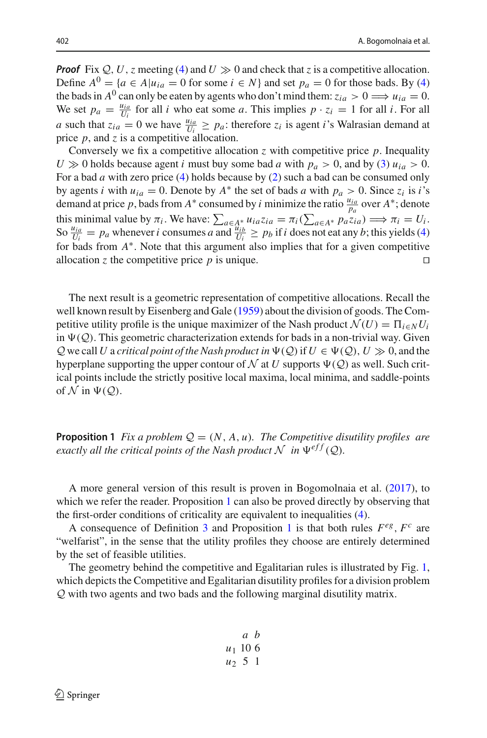*Proof* Fix  $Q$ , *U*, *z* meeting [\(4\)](#page-6-4) and  $U \gg 0$  and check that *z* is a competitive allocation. Define  $A^0 = \{a \in A | u_{ia} = 0 \text{ for some } i \in N\}$  and set  $p_a = 0$  for those bads. By [\(4\)](#page-6-4) the bads in  $A^0$  can only be eaten by agents who don't mind them:  $z_{ia} > 0 \Longrightarrow u_{ia} = 0$ . We set  $p_a = \frac{u_{ia}}{U_i}$  for all *i* who eat some *a*. This implies  $p \cdot z_i = 1$  for all *i*. For all *a* such that  $z_{ia} = 0$  we have  $\frac{u_{ia}}{U_i} \ge p_a$ : therefore  $z_i$  is agent *i*'s Walrasian demand at price *p*, and *z* is a competitive allocation.

Conversely we fix a competitive allocation *z* with competitive price  $p$ . Inequality  $U \gg 0$  holds because agent *i* must buy some bad *a* with  $p_a > 0$ , and by [\(3\)](#page-6-1)  $u_{ia} > 0$ . For a bad *a* with zero price [\(4\)](#page-6-4) holds because by [\(2\)](#page-6-2) such a bad can be consumed only by agents *i* with  $u_{ia} = 0$ . Denote by  $A^*$  the set of bads *a* with  $p_a > 0$ . Since  $z_i$  is *i*'s demand at price *p*, bads from *A*<sup>∗</sup> consumed by *i* minimize the ratio  $\frac{u_{ia}}{p_a}$  over *A*<sup>∗</sup>; denote this minimal value by  $\pi_i$ . We have:  $\sum_{a \in A^*} u_{ia} z_{ia} = \pi_i (\sum_{a \in A^*} p_a z_{ia}) \Longrightarrow \pi_i = U_i$ .<br>So  $\frac{u_{ia}}{U_i} = p_a$  whenever *i* consumes *a* and  $\frac{u_{ib}}{U_i} \ge p_b$  if *i* does not eat any *b*; this yields [\(4\)](#page-6-4) for bads from  $A^*$ . Note that this argument also implies that for a given competitive allocation *z* the competitive price *p* is unique.

The next result is a geometric representation of competitive allocations. Recall the well known result by Eisenberg and Gal[e](#page-22-6) [\(1959](#page-22-6)) about the division of goods. The Competitive utility profile is the unique maximizer of the Nash product  $\mathcal{N}(U) = \prod_{i \in N} U_i$ in  $\Psi(Q)$ . This geometric characterization extends for bads in a non-trivial way. Given  $Q$  we call *U* a *critical point of the Nash product in*  $\Psi(Q)$  if  $U \in \Psi(Q)$ ,  $U \gg 0$ , and the hyperplane supporting the upper contour of  $\mathcal N$  at  $U$  supports  $\Psi(\mathcal Q)$  as well. Such critical points include the strictly positive local maxima, local minima, and saddle-points of  $\mathcal N$  in  $\Psi(\mathcal Q)$ .

<span id="page-7-0"></span>**Proposition 1** *Fix a problem*  $Q = (N, A, u)$ *. The Competitive disutility profiles are exactly all the critical points of the Nash product*  $\mathcal N$  *in*  $\Psi^{eff}(\mathcal{Q})$ *.* 

A more general version of this result is proven in Bogomolnaia et al[.](#page-22-8) [\(2017](#page-22-8)), to which we refer the reader. Proposition [1](#page-7-0) can also be proved directly by observing that the first-order conditions of criticality are equivalent to inequalities [\(4\)](#page-6-4).

A consequence of Definition [3](#page-5-2) and Proposition [1](#page-7-0) is that both rules  $F^{eg}$ ,  $F^c$  are "welfarist", in the sense that the utility profiles they choose are entirely determined by the set of feasible utilities.

The geometry behind the competitive and Egalitarian rules is illustrated by Fig. [1,](#page-8-1) which depicts the Competitive and Egalitarian disutility profiles for a division problem *Q* with two agents and two bads and the following marginal disutility matrix.

$$
\begin{array}{cc}\n & a & b \\
u_1 & 10 & 6 \\
u_2 & 5 & 1\n\end{array}
$$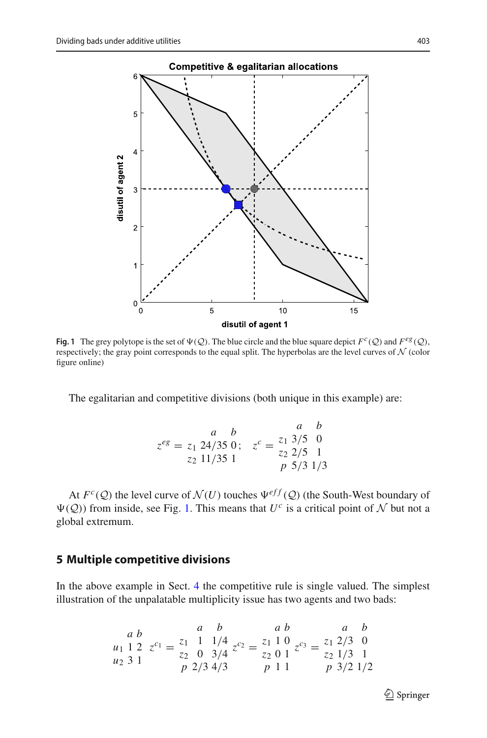

<span id="page-8-1"></span>**Fig. 1** The grey polytope is the set of  $\Psi(\mathcal{Q})$ . The blue circle and the blue square depict  $F^c(\mathcal{Q})$  and  $F^{eg}(\mathcal{Q})$ , respectively; the gray point corresponds to the equal split. The hyperbolas are the level curves of *N* (color figure online)

The egalitarian and competitive divisions (both unique in this example) are:

$$
z^{eg} = z_1 \frac{a}{24/35} 0; \quad z^c = \frac{z_1}{z_2} \frac{3/5}{2/5} 0
$$
  

$$
z_2 \frac{11/35}{1} 1 \qquad \frac{z^c}{p} \frac{z}{5/3} \frac{1}{1/3}
$$

At  $F^c(Q)$  the level curve of  $\mathcal{N}(U)$  touches  $\Psi^{eff}(Q)$  (the South-West boundary of  $\Psi(\mathcal{Q})$ ) from inside, see Fig. [1.](#page-8-1) This means that  $U^c$  is a critical point of N but not a global extremum.

## <span id="page-8-0"></span>**5 Multiple competitive divisions**

In the above example in Sect. [4](#page-5-0) the competitive rule is single valued. The simplest illustration of the unpalatable multiplicity issue has two agents and two bads:

$$
\begin{array}{cccc}\n & a & b & a & b & a & b \\
a_1 & 1 & 2 & z^{c_1} = \frac{z_1}{z_2} & \frac{1}{2} & \frac{1}{4} & \frac{1}{4} & z^{c_2} = \frac{z_1}{z_2} & \frac{1}{2} & 0 & 0 \\
a_2 & 3 & 1 & 2 & 2 & 0 & 0 & 0 \\
a_3 & 1 & 2 & 2 & 3 & 4 & 0 & 0 \\
a_4 & 3 & 1 & 2 & 3 & 0 & 0 \\
a_5 & 3 & 1 & 2 & 0 & 0 & 0 \\
a_6 & 3 & 1 & 2 & 0 & 0 & 0 \\
a_7 & 3 & 1 & 2 & 0 & 0 & 0 \\
a_8 & 3 & 1 & 2 & 0 & 0 & 0 \\
a_9 & 3 & 1 & 2 & 0 & 0 & 0 \\
a_1 & 3 & 1 & 2 & 0 & 0 & 0 \\
a_1 & 3 & 1 & 2 & 0 & 0 & 0 \\
a_2 & 3 & 1 & 2 & 0 & 0 & 0 \\
a_3 & 3 & 1 & 2 & 0 & 0 & 0 \\
a_4 & 3 & 1 & 2 & 0 & 0 & 0 \\
a_5 & 3 & 1 & 2 & 0 & 0 & 0 \\
a_6 & 3 & 1 & 2 & 0 & 0 & 0 \\
a_7 & 3 & 1 & 2 & 0 & 0 & 0 \\
a_8 & 3 & 1 & 2 & 0 & 0 & 0 \\
a_9 & 3 & 1 & 2 & 0 & 0 & 0 \\
a_1 & 3 & 1 & 2 & 0 & 0 & 0 \\
a_1 & 3 & 1 & 2 & 0 & 0 & 0 \\
a_2 & 3 & 1 & 2 & 0 & 0 & 0 \\
a_1 & 3 & 1 & 2 & 0 & 0 & 0 \\
a_2 & 3 & 1 & 2 & 0 & 0 & 0 \\
a_1 & 3 & 1 & 2 & 0 & 0 & 0 \\
a_2 & 3 & 1 & 2 & 0 & 0 & 0 \\
a_1 & 3 & 1 & 2 & 0 & 0 & 0 \\
a_2 & 3 & 1 & 2 & 0 & 0 & 0 \\
a_1 & 3 & 1 & 2 & 0 & 0 & 0 \\
a_2 & 3 & 1 & 2 & 0 & 0 & 0 \\
a_2 & 3 & 1
$$

 $\mathcal{D}$  Springer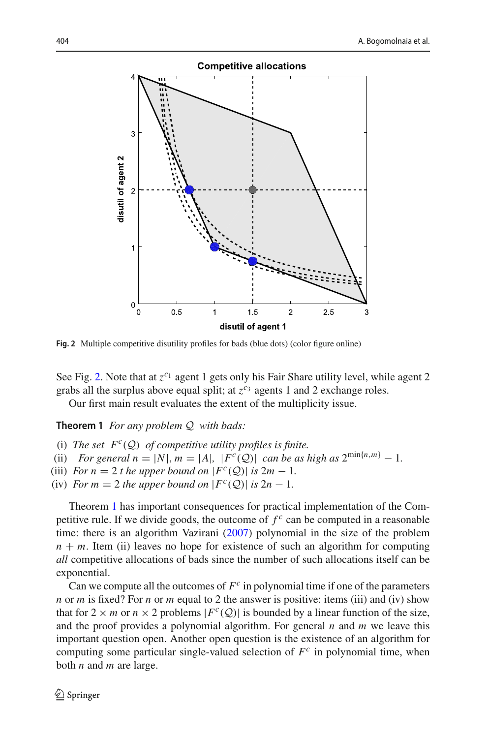

<span id="page-9-1"></span>Fig. 2 Multiple competitive disutility profiles for bads (blue dots) (color figure online)

See Fig. [2.](#page-9-1) Note that at  $z^{c_1}$  agent 1 gets only his Fair Share utility level, while agent 2 grabs all the surplus above equal split; at  $z^{c_3}$  agents 1 and 2 exchange roles.

<span id="page-9-0"></span>Our first main result evaluates the extent of the multiplicity issue.

**Theorem 1** *For any problem Q with bads:*

- (i) The set  $F^c(Q)$  of competitive utility profiles is finite.
- (ii) *For general*  $n = |N|, m = |A|, |F^c(Q)|$  *can be as high as*  $2^{\min\{n,m\}} 1$ *.*
- (iii) *For*  $n = 2$  *t* he upper bound on  $|F^c(Q)|$  is  $2m 1$ .
- (iv) *For*  $m = 2$  *the upper bound on*  $|F^c(Q)|$  *is*  $2n 1$ *.*

Theorem [1](#page-9-0) has important consequences for practical implementation of the Competitive rule. If we divide goods, the outcome of  $f^c$  can be computed in a reasonable time: there is an algorithm Vaziran[i](#page-22-21) [\(2007](#page-22-21)) polynomial in the size of the problem  $n + m$ . Item (ii) leaves no hope for existence of such an algorithm for computing *all* competitive allocations of bads since the number of such allocations itself can be exponential.

Can we compute all the outcomes of  $F<sup>c</sup>$  in polynomial time if one of the parameters *n* or *m* is fixed? For *n* or *m* equal to 2 the answer is positive: items (iii) and (iv) show that for  $2 \times m$  or  $n \times 2$  problems  $|F^c(Q)|$  is bounded by a linear function of the size, and the proof provides a polynomial algorithm. For general *n* and *m* we leave this important question open. Another open question is the existence of an algorithm for computing some particular single-valued selection of  $F<sup>c</sup>$  in polynomial time, when both *n* and *m* are large.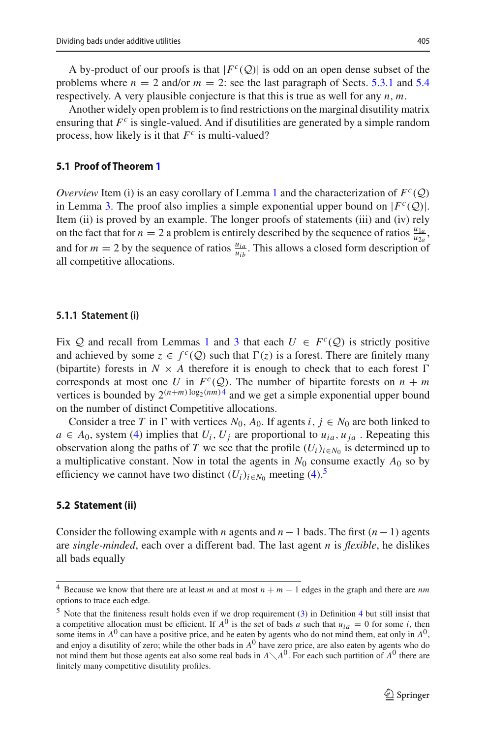A by-product of our proofs is that  $|F^c(Q)|$  is odd on an open dense subset of the problems where  $n = 2$  and/or  $m = 2$ : see the last paragraph of Sects. [5.3.1](#page-11-0) and [5.4](#page-13-0) respectively. A very plausible conjecture is that this is true as well for any *n*, *m*.

Another widely open problem is to find restrictions on the marginal disutility matrix ensuring that *F<sup>c</sup>* is single-valued. And if disutilities are generated by a simple random process, how likely is it that  $F^c$  is multi-valued?

#### **5.1 Proof of Theorem [1](#page-9-0)**

*Overview* Item (i) is an easy corollary of Lemma [1](#page-4-0) and the characterization of  $F^c(Q)$ in Lemma [3.](#page-6-5) The proof also implies a simple exponential upper bound on  $|F^c(Q)|$ . Item (ii) is proved by an example. The longer proofs of statements (iii) and (iv) rely on the fact that for  $n = 2$  a problem is entirely described by the sequence of ratios  $\frac{u_{1a}}{u_{2a}}$ , and for  $m = 2$  by the sequence of ratios  $\frac{u_{ia}}{u_{ib}}$ . This allows a closed form description of all competitive allocations.

#### **5.1.1 Statement (i)**

Fix Q and recall from Lemmas [1](#page-4-0) and [3](#page-6-5) that each  $U \in F^c(Q)$  is strictly positive and achieved by some  $z \in f^c(Q)$  such that  $\Gamma(z)$  is a forest. There are finitely many (bipartite) forests in  $N \times A$  therefore it is enough to check that to each forest  $\Gamma$ corresponds at most one *U* in  $F^c(Q)$ . The number of bipartite forests on  $n + m$ vertices is bounded by  $2^{(n+m)\log_2(nm)4}$  $2^{(n+m)\log_2(nm)4}$  $2^{(n+m)\log_2(nm)4}$  and we get a simple exponential upper bound on the number of distinct Competitive allocations.

Consider a tree *T* in  $\Gamma$  with vertices  $N_0$ ,  $A_0$ . If agents *i*,  $j \in N_0$  are both linked to  $a \in A_0$ , system [\(4\)](#page-6-4) implies that  $U_i$ ,  $U_j$  are proportional to  $u_{ia}$ ,  $u_{ja}$ . Repeating this observation along the paths of *T* we see that the profile  $(U_i)_{i \in N_0}$  is determined up to a multiplicative constant. Now in total the agents in  $N_0$  consume exactly  $A_0$  so by efficiency we cannot have two distinct  $(U_i)_{i \in N_0}$  meeting [\(4\)](#page-6-4).<sup>[5](#page-10-1)</sup>

#### **5.2 Statement (ii)**

Consider the following example with *n* agents and  $n - 1$  bads. The first  $(n - 1)$  agents are *single-minded*, each over a different bad. The last agent *n* is *flexible*, he dislikes all bads equally

<span id="page-10-0"></span><sup>4</sup> Because we know that there are at least *<sup>m</sup>* and at most *<sup>n</sup>* <sup>+</sup> *<sup>m</sup>* <sup>−</sup> 1 edges in the graph and there are *nm* options to trace each edge.

<span id="page-10-1"></span><sup>5</sup> Note that the finiteness result holds even if we drop requirement [\(3\)](#page-6-1) in Definition [4](#page-6-0) but still insist that a competitive allocation must be efficient. If  $A^0$  is the set of bads *a* such that  $u_{ia} = 0$  for some *i*, then some items in  $A^0$  can have a positive price, and be eaten by agents who do not mind them, eat only in  $A^0$ , and enjoy a disutility of zero; while the other bads in *A*<sup>0</sup> have zero price, are also eaten by agents who do not mind them but those agents eat also some real bads in  $A \setminus A^0$ . For each such partition of  $A^0$  there are finitely many competitive disutility profiles.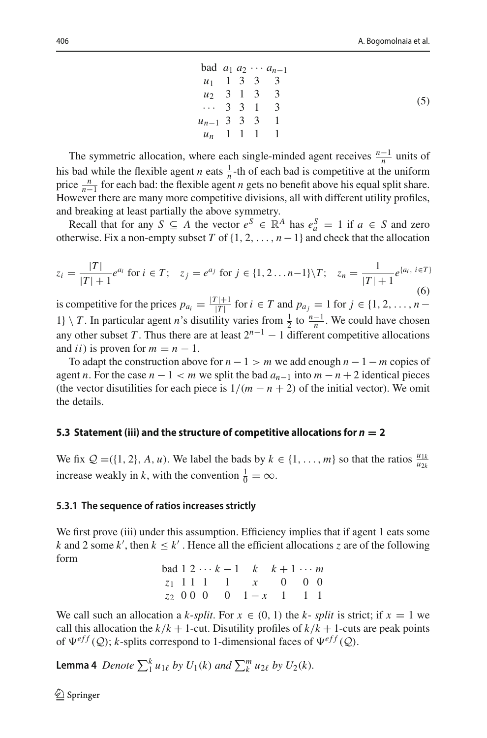|                   |  | bad $a_1 a_2 \cdots a_{n-1}$ |
|-------------------|--|------------------------------|
| $u_1$ 1 3 3 3     |  |                              |
| $u_2$ 3 1 3 3     |  |                              |
| $\cdots$ 3 3 1 3  |  |                              |
| $u_{n-1}$ 3 3 3 1 |  |                              |
| $u_n$ 1 1 1 1     |  |                              |

The symmetric allocation, where each single-minded agent receives  $\frac{n-1}{n}$  units of his bad while the flexible agent *n* eats  $\frac{1}{n}$ -th of each bad is competitive at the uniform price  $\frac{n}{n-1}$  for each bad: the flexible agent *n* gets no benefit above his equal split share. However there are many more competitive divisions, all with different utility profiles, and breaking at least partially the above symmetry.

Recall that for any  $S \subseteq A$  the vector  $e^S \in \mathbb{R}^A$  has  $e_a^S = 1$  if  $a \in S$  and zero otherwise. Fix a non-empty subset *T* of  $\{1, 2, ..., n-1\}$  and check that the allocation

$$
z_i = \frac{|T|}{|T|+1} e^{a_i} \text{ for } i \in T; \quad z_j = e^{a_j} \text{ for } j \in \{1, 2 \dots n-1\} \setminus T; \quad z_n = \frac{1}{|T|+1} e^{\{a_i, i \in T\}}
$$
(6)

is competitive for the prices  $p_{a_i} = \frac{|T|+1}{|T|}$  for  $i \in T$  and  $p_{a_j} = 1$  for  $j \in \{1, 2, ..., n-1\}$ 1} \ *T*. In particular agent *n*'s disutility varies from  $\frac{1}{2}$  to  $\frac{n-1}{n}$ . We could have chosen any other subset *T*. Thus there are at least  $2^{n-1} - 1$  different competitive allocations and *ii*) is proven for  $m = n - 1$ .

To adapt the construction above for  $n - 1 > m$  we add enough  $n - 1 - m$  copies of agent *n*. For the case  $n - 1 < m$  we split the bad  $a_{n-1}$  into  $m - n + 2$  identical pieces (the vector disutilities for each piece is  $1/(m - n + 2)$  of the initial vector). We omit the details.

#### **5.3 Statement (iii) and the structure of competitive allocations for** *<sup>n</sup>* **<sup>=</sup> <sup>2</sup>**

We fix  $Q = (\{1, 2\}, A, u)$ . We label the bads by  $k \in \{1, \ldots, m\}$  so that the ratios  $\frac{u_{1k}}{u_{2k}}$ increase weakly in *k*, with the convention  $\frac{1}{0} = \infty$ .

### <span id="page-11-0"></span>**5.3.1 The sequence of ratios increases strictly**

We first prove (iii) under this assumption. Efficiency implies that if agent 1 eats some *k* and 2 some *k*<sup> $\prime$ </sup>, then  $k \leq k'$ . Hence all the efficient allocations *z* are of the following form

|  |  | bad $1 \ 2 \cdots k-1 \ k \ k+1 \cdots m$ |  |  |
|--|--|-------------------------------------------|--|--|
|  |  | $z_1$ 1 1 1 1 $x$ 0 0 0                   |  |  |
|  |  | $z_2$ 00 0 0 1 - x 1 1 1                  |  |  |

We call such an allocation a *k*-*split*. For  $x \in (0, 1)$  the *k*-*split* is strict; if  $x = 1$  we call this allocation the  $k/k + 1$ -cut. Disutility profiles of  $k/k + 1$ -cuts are peak points of  $\Psi^{eff}(\mathcal{Q})$ ; *k*-splits correspond to 1-dimensional faces of  $\Psi^{eff}(\mathcal{Q})$ .

<span id="page-11-1"></span>**Lemma 4** Denote  $\sum_{1}^{k} u_{1\ell}$  by  $U_1(k)$  and  $\sum_{k}^{m} u_{2\ell}$  by  $U_2(k)$ .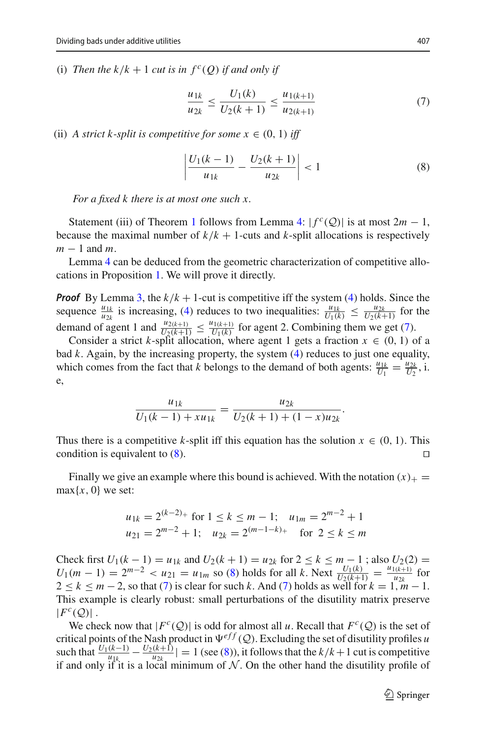(i) *Then the k/k* + 1 *cut is in*  $f^c(Q)$  *if and only if* 

<span id="page-12-0"></span>
$$
\frac{u_{1k}}{u_{2k}} \le \frac{U_1(k)}{U_2(k+1)} \le \frac{u_{1(k+1)}}{u_{2(k+1)}}\tag{7}
$$

(ii) *A strict k-split is competitive for some*  $x \in (0, 1)$  *iff* 

<span id="page-12-1"></span>
$$
\left| \frac{U_1(k-1)}{u_{1k}} - \frac{U_2(k+1)}{u_{2k}} \right| < 1 \tag{8}
$$

*For a fixed k there is at most one such x.*

Statement (iii) of Theorem [1](#page-9-0) follows from Lemma [4:](#page-11-1)  $|f^{c}(Q)|$  is at most  $2m - 1$ , because the maximal number of  $k/k + 1$ -cuts and *k*-split allocations is respectively *m* − 1 and *m*.

Lemma [4](#page-11-1) can be deduced from the geometric characterization of competitive allocations in Proposition [1.](#page-7-0) We will prove it directly.

*Proof* By Lemma [3,](#page-6-5) the  $k/k + 1$ -cut is competitive iff the system [\(4\)](#page-6-4) holds. Since the sequence  $\frac{u_{1k}}{u_{2k}}$  is increasing, [\(4\)](#page-6-4) reduces to two inequalities:  $\frac{u_{1k}}{U_1(k)} \leq \frac{u_{2k}}{U_2(k+1)}$  for the demand of agent 1 and  $\frac{u_{2(k+1)}}{U_2(k+1)} \leq \frac{u_{1(k+1)}}{U_1(k)}$  for agent 2. Combining them we get [\(7\)](#page-12-0).

Consider a strict *k*-split allocation, where agent 1 gets a fraction  $x \in (0, 1)$  of a bad *k*. Again, by the increasing property, the system [\(4\)](#page-6-4) reduces to just one equality, which comes from the fact that *k* belongs to the demand of both agents:  $\frac{u_{1k}}{U_1} = \frac{u_{2k}}{U_2}$ , i. e,

$$
\frac{u_{1k}}{U_1(k-1) + xu_{1k}} = \frac{u_{2k}}{U_2(k+1) + (1-x)u_{2k}}.
$$

Thus there is a competitive *k*-split iff this equation has the solution  $x \in (0, 1)$ . This condition is equivalent to (8) condition is equivalent to [\(8\)](#page-12-1). 

Finally we give an example where this bound is achieved. With the notation  $(x)_+$  =  $max{x, 0}$  we set:

$$
u_{1k} = 2^{(k-2)+}
$$
 for  $1 \le k \le m-1$ ;  $u_{1m} = 2^{m-2} + 1$   
\n $u_{21} = 2^{m-2} + 1$ ;  $u_{2k} = 2^{(m-1-k)+}$  for  $2 \le k \le m$ 

Check first  $U_1(k-1) = u_{1k}$  and  $U_2(k+1) = u_{2k}$  for  $2 \le k \le m-1$ ; also  $U_2(2) =$  $U_1(m-1) = 2^{m-2} < u_{1} = u_{1m}$  so [\(8\)](#page-12-1) holds for all *k*. Next  $\frac{U_1(k)}{U_2(k+1)} = \frac{u_{1(k+1)}}{u_{2k}}$  for  $2 \le k \le m-2$ , so that [\(7\)](#page-12-0) is clear for such k. And (7) holds as well for  $k = 1, m-1$ . This example is clearly robust: small perturbations of the disutility matrix preserve  $|F^c(Q)|$ .

We check now that  $|F^c(Q)|$  is odd for almost all *u*. Recall that  $F^c(Q)$  is the set of critical points of the Nash product in  $\Psi^{eff}(Q)$ . Excluding the set of disutility profiles *u* such that  $\frac{U_1(k-1)}{u_{1k}} - \frac{U_2(k+1)}{u_{2k}}| = 1$  (see [\(8\)](#page-12-1)), it follows that the  $k/k + 1$  cut is competitive if and only if it is a local minimum of  $N$ . On the other hand the disutility profile of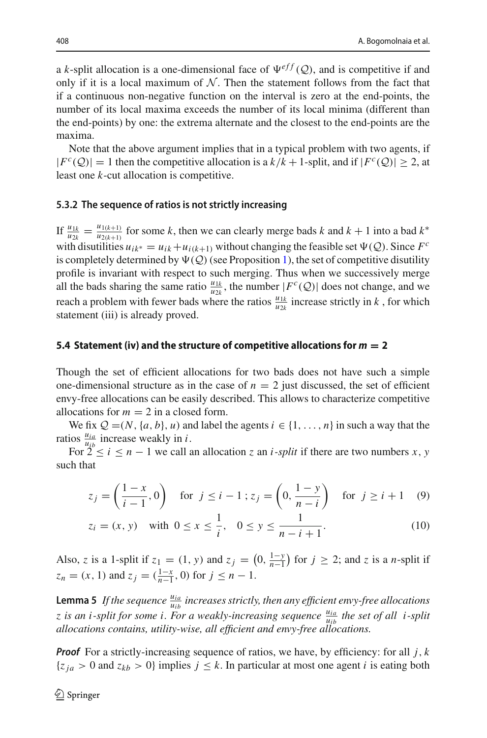a *k*-split allocation is a one-dimensional face of  $\Psi^{eff}(Q)$ , and is competitive if and only if it is a local maximum of  $N$ . Then the statement follows from the fact that if a continuous non-negative function on the interval is zero at the end-points, the number of its local maxima exceeds the number of its local minima (different than the end-points) by one: the extrema alternate and the closest to the end-points are the maxima.

Note that the above argument implies that in a typical problem with two agents, if  $|F^{c}(Q)| = 1$  then the competitive allocation is a  $k/k + 1$ -split, and if  $|F^{c}(Q)| \geq 2$ , at least one *k*-cut allocation is competitive.

#### <span id="page-13-2"></span>**5.3.2 The sequence of ratios is not strictly increasing**

If  $\frac{u_{1k}}{u_{2k}} = \frac{u_{1(k+1)}}{u_{2(k+1)}}$  for some *k*, then we can clearly merge bads *k* and  $k + 1$  into a bad  $k^*$ with disutilities  $u_{ik}$ ∗ =  $u_{ik} + u_{i(k+1)}$  without changing the feasible set  $\Psi(\mathcal{Q})$ . Since  $F^c$ is completely determined by  $\Psi(Q)$  (see Proposition [1\)](#page-7-0), the set of competitive disutility profile is invariant with respect to such merging. Thus when we successively merge all the bads sharing the same ratio  $\frac{u_{1k}}{u_{2k}}$ , the number  $|F^c(Q)|$  does not change, and we reach a problem with fewer bads where the ratios  $\frac{u_{1k}}{u_{2k}}$  increase strictly in *k*, for which statement (iii) is already proved.

## <span id="page-13-0"></span>**5.4 Statement (iv) and the structure of competitive allocations for** *<sup>m</sup>* **<sup>=</sup> <sup>2</sup>**

Though the set of efficient allocations for two bads does not have such a simple one-dimensional structure as in the case of  $n = 2$  just discussed, the set of efficient envy-free allocations can be easily described. This allows to characterize competitive allocations for  $m = 2$  in a closed form.

We fix  $Q = (N, \{a, b\}, u)$  and label the agents  $i \in \{1, ..., n\}$  in such a way that the ratios  $\frac{u_{ia}}{u_{ib}}$  increase weakly in *i*.

For  $2 \le i \le n - 1$  we call an allocation *z* an *i*-*split* if there are two numbers *x*, *y* such that

<span id="page-13-1"></span>
$$
z_j = \left(\frac{1-x}{i-1}, 0\right) \quad \text{for } j \le i-1 \; ; z_j = \left(0, \frac{1-y}{n-i}\right) \quad \text{for } j \ge i+1 \quad (9)
$$

$$
z_i = (x, y)
$$
 with  $0 \le x \le \frac{1}{i}$ ,  $0 \le y \le \frac{1}{n - i + 1}$ . (10)

Also, *z* is a 1-split if  $z_1 = (1, y)$  and  $z_j = \left(0, \frac{1-y}{n-1}\right)$  for  $j \ge 2$ ; and *z* is a *n*-split if  $z_n = (x, 1)$  and  $z_j = (\frac{1-x}{n-1}, 0)$  for  $j \leq n-1$ .

**Lemma 5** If the sequence  $\frac{u_{ia}}{u_{ib}}$  increases strictly, then any efficient envy-free allocations *z* is an *i*-split for some *i*. For a weakly-increasing sequence  $\frac{u_{ia}}{u_{ib}}$  the set of all *i*-split *allocations contains, utility-wise, all efficient and envy-free allocations.*

*Proof* For a strictly-increasing sequence of ratios, we have, by efficiency: for all *j*, *k*  ${z_{ja} > 0}$  and  $z_{kb} > 0$ } implies  $j \leq k$ . In particular at most one agent *i* is eating both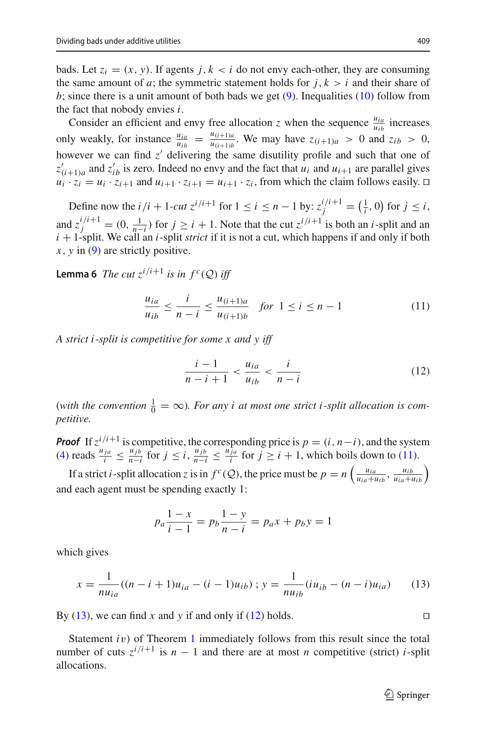bads. Let  $z_i = (x, y)$ . If agents  $j, k \le i$  do not envy each-other, they are consuming the same amount of *a*; the symmetric statement holds for  $j, k > i$  and their share of *b*; since there is a unit amount of both bads we get [\(9\)](#page-13-1). Inequalities [\(10\)](#page-13-1) follow from the fact that nobody envies *i*.

Consider an efficient and envy free allocation *z* when the sequence  $\frac{u_{ia}}{u_{ib}}$  increases only weakly, for instance  $\frac{u_{ia}}{u_{ib}} = \frac{u_{(i+1)a}}{u_{(i+1)b}}$ . We may have  $z_{(i+1)a} > 0$  and  $z_{ib} > 0$ , however we can find  $z'$  delivering the same disutility profile and such that one of  $z'_{(i+1)a}$  and  $z'_{ib}$  is zero. Indeed no envy and the fact that  $u_i$  and  $u_{i+1}$  are parallel gives  $u_i \cdot z_i = u_i \cdot z_{i+1}$  and  $u_{i+1} \cdot z_{i+1} = u_{i+1} \cdot z_i$ , from which the claim follows easily.  $\Box$ 

Define now the  $i/i + 1$ -*cut*  $z^{i/i+1}$  for  $1 \le i \le n - 1$  by:  $z_j^{i/i+1} = (\frac{1}{i}, 0)$  for  $j \le i$ , and  $z_j^{i/i+1} = (0, \frac{1}{n-i})$  for  $j \ge i + 1$ . Note that the cut  $z^{i/i+1}$  is both an *i*-split and an <br>*i*<sub>1</sub> is a little We soll an *i* sult this if it is not a surface which happens if and only if hath *i* + 1-split. We call an *i*-split *strict* if it is not a cut, which happens if and only if both *x*, *y* in [\(9\)](#page-13-1) are strictly positive.

**Lemma 6** *The cut*  $z^{i/i+1}$  *is in*  $f^c(Q)$  *iff* 

<span id="page-14-0"></span>
$$
\frac{u_{ia}}{u_{ib}} \le \frac{i}{n-i} \le \frac{u_{(i+1)a}}{u_{(i+1)b}} \quad \text{for } 1 \le i \le n-1 \tag{11}
$$

*A strict i -split is competitive for some x and y iff*

<span id="page-14-2"></span>
$$
\frac{i-1}{n-i+1} < \frac{u_{ia}}{u_{ib}} < \frac{i}{n-i} \tag{12}
$$

(with the convention  $\frac{1}{0} = \infty$ ). For any *i* at most one strict *i*-split allocation is com*petitive.*

*Proof* If  $z^{i/i+1}$  is competitive, the corresponding price is  $p = (i, n-i)$ , and the system [\(4\)](#page-6-4) reads  $\frac{u_{ja}}{i} \leq \frac{u_{jb}}{n-i}$  for  $j \leq i$ ,  $\frac{u_{jb}}{n-i} \leq \frac{u_{ja}}{i}$  for  $j \geq i+1$ , which boils down to [\(11\)](#page-14-0).

If a strict *i*-split allocation *z* is in  $f^c(Q)$ , the price must be  $p = n\left(\frac{u_{ia}}{u_{ia} + u_{ib}}, \frac{u_{ib}}{u_{ia} + u_{ib}}\right)$ and each agent must be spending exactly 1:

$$
p_a \frac{1-x}{i-1} = p_b \frac{1-y}{n-i} = p_a x + p_b y = 1
$$

which gives

<span id="page-14-1"></span>
$$
x = \frac{1}{nu_{ia}}((n-i+1)u_{ia} - (i-1)u_{ib}); y = \frac{1}{nu_{ib}}(iu_{ib} - (n-i)u_{ia})
$$
 (13)

By [\(13\)](#page-14-1), we can find *x* and *y* if and only if [\(12\)](#page-14-2) holds.

Statement *i*v) of Theorem [1](#page-9-0) immediately follows from this result since the total number of cuts  $z^{i/i+1}$  is  $n-1$  and there are at most *n* competitive (strict) *i*-split allocations.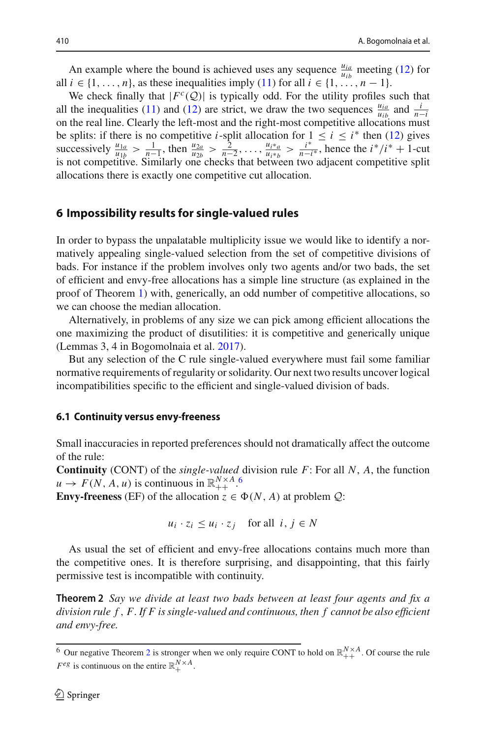An example where the bound is achieved uses any sequence  $\frac{u_{ia}}{u_{ib}}$  meeting [\(12\)](#page-14-2) for all  $i \in \{1, \ldots, n\}$ , as these inequalities imply [\(11\)](#page-14-0) for all  $i \in \{1, \ldots, n-1\}$ .

We check finally that  $|F^c(Q)|$  is typically odd. For the utility profiles such that all the inequalities [\(11\)](#page-14-0) and [\(12\)](#page-14-2) are strict, we draw the two sequences  $\frac{u_{ia}}{n-b}$  and  $\frac{i}{n-a}$  and  $\frac{i}{n-a}$  and  $\frac{i}{n-a}$  and  $\frac{i}{n-a}$  and  $\frac{i}{n-a}$  and  $\frac{i}{n-a}$  and  $\frac{i}{n-a}$  and  $\frac{i}{n-a}$  and  $\frac{i}{n-a}$  and  $\frac{i$ on the real line. Clearly the left-most and the right-most competitive allocations must be splits: if there is no competitive *i*-split allocation for  $1 \le i \le i^*$  then [\(12\)](#page-14-2) gives successively  $\frac{u_{1a}}{u_{1b}} > \frac{1}{n-1}$ , then  $\frac{u_{2a}}{u_{2b}} > \frac{2}{n-2}$ , ...,  $\frac{u_{i+a}}{u_{i+b}} > \frac{i^*}{n-i^*}$ , hence the  $i^*/i^* + 1$ -cut is not competitive. Similarly one checks that between two adjacent competitive split allocations there is exactly one competitive cut allocation.

## <span id="page-15-0"></span>**6 Impossibility results for single-valued rules**

In order to bypass the unpalatable multiplicity issue we would like to identify a normatively appealing single-valued selection from the set of competitive divisions of bads. For instance if the problem involves only two agents and/or two bads, the set of efficient and envy-free allocations has a simple line structure (as explained in the proof of Theorem [1\)](#page-9-0) with, generically, an odd number of competitive allocations, so we can choose the median allocation.

Alternatively, in problems of any size we can pick among efficient allocations the one maximizing the product of disutilities: it is competitive and generically unique (Lemmas 3, 4 in Bogomolnaia et al[.](#page-22-8) [2017](#page-22-8)).

But any selection of the C rule single-valued everywhere must fail some familiar normative requirements of regularity or solidarity. Our next two results uncover logical incompatibilities specific to the efficient and single-valued division of bads.

#### **6.1 Continuity versus envy-freeness**

Small inaccuracies in reported preferences should not dramatically affect the outcome of the rule:

**Continuity** (CONT) of the *single-valued* division rule *F*: For all *N*, *A*, the function  $u \to F(N, A, u)$  is continuous in  $\mathbb{R}_{++}^{N \times A}$ .

**Envy-freeness** (EF) of the allocation  $z \in \Phi(N, A)$  at problem  $Q$ :

$$
u_i \cdot z_i \le u_i \cdot z_j \quad \text{for all } i, j \in N
$$

As usual the set of efficient and envy-free allocations contains much more than the competitive ones. It is therefore surprising, and disappointing, that this fairly permissive test is incompatible with continuity.

<span id="page-15-1"></span>**Theorem 2** *Say we divide at least two bads between at least four agents and fix a division rule f* , *F. If F is single-valued and continuous, then f cannot be also efficient and envy-free.*

<span id="page-15-2"></span><sup>&</sup>lt;sup>6</sup> Our negative Theorem [2](#page-15-1) is stronger when we only require CONT to hold on  $\mathbb{R}_{++}^{N \times A}$ . Of course the rule  $F^{eg}$  is continuous on the entire  $\mathbb{R}^{N \times A}_{+}$ .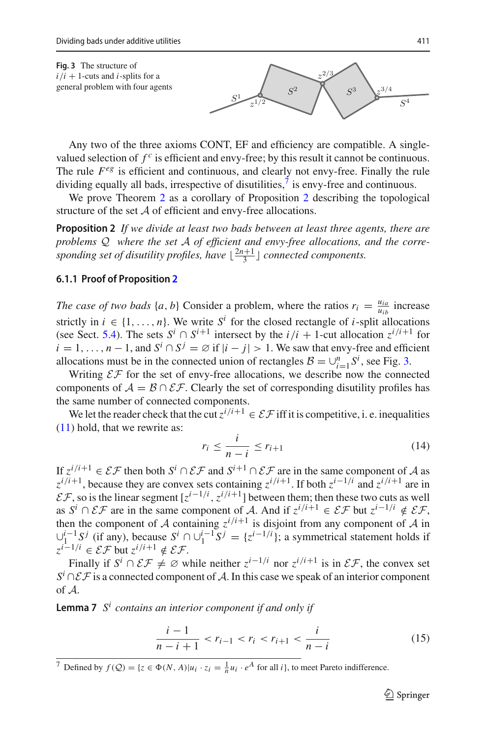<span id="page-16-2"></span>**Fig. 3** The structure of  $i/i + 1$ -cuts and *i*-splits for a general problem with four agents



Any two of the three axioms CONT, EF and efficiency are compatible. A singlevalued selection of  $f^c$  is efficient and envy-free; by this result it cannot be continuous. The rule  $F^{\text{eg}}$  is efficient and continuous, and clearly not envy-free. Finally the rule dividing equally all bads, irrespective of disutilities, $\frac{7}{1}$  $\frac{7}{1}$  $\frac{7}{1}$  is envy-free and continuous.

<span id="page-16-0"></span>We prove Theorem [2](#page-16-0) as a corollary of Proposition 2 describing the topological structure of the set *A* of efficient and envy-free allocations.

**Proposition 2** *If we divide at least two bads between at least three agents, there are problems Q where the set A of efficient and envy-free allocations, and the corre*sponding set of disutility profiles, have  $\lfloor \frac{2n+1}{3} \rfloor$  connected components.

### **6.1.1 Proof of Proposition [2](#page-16-0)**

*The case of two bads*  $\{a, b\}$  Consider a problem, where the ratios  $r_i = \frac{u_{ia}}{u_{ib}}$  increase strictly in  $i \in \{1, \ldots, n\}$ . We write  $S^i$  for the closed rectangle of *i*-split allocations (see Sect. [5.4\)](#page-13-0). The sets  $S^i \cap S^{i+1}$  intersect by the  $i/i + 1$ -cut allocation  $z^{i/i+1}$  for  $i = 1, \ldots, n-1$ , and  $S^i \cap S^j = \emptyset$  if  $|i - j| > 1$ . We saw that envy-free and efficient allocations must be in the connected union of rectangles  $B = \bigcup_{i=1}^{n} S^i$ , see Fig. [3.](#page-16-2)

Writing  $\mathcal{EF}$  for the set of envy-free allocations, we describe now the connected components of  $A = B \cap \mathcal{EF}$ . Clearly the set of corresponding disutility profiles has the same number of connected components.

We let the reader check that the cut  $z^{i/i+1} \in \mathcal{EF}$  iff it is competitive, i. e. inequalities [\(11\)](#page-14-0) hold, that we rewrite as:

<span id="page-16-4"></span>
$$
r_i \le \frac{i}{n-i} \le r_{i+1} \tag{14}
$$

If  $z^{i/i+1} \in \mathcal{EF}$  then both  $S^i \cap \mathcal{EF}$  and  $S^{i+1} \cap \mathcal{EF}$  are in the same component of *A* as  $z^{i/i+1}$ , because they are convex sets containing  $z^{i/i+1}$ . If both  $z^{i-1/i}$  and  $z^{i/i+1}$  are in  $E\mathcal{F}$ , so is the linear segment  $[z^{i-1/i}, z^{i/i+1}]$  between them; then these two cuts as well as  $S^i \cap \mathcal{EF}$  are in the same component of *A*. And if  $z^{i/i+1} \in \mathcal{EF}$  but  $z^{i-1/i} \notin \mathcal{EF}$ , then the component of *A* containing  $z^{i/i+1}$  is disjoint from any component of *A* in  $\bigcup_{i=1}^{i-1} S^j$  (if any), because  $S^i$  ∩  $\bigcup_{i=1}^{i-1} S^j = \{z^{i-1/i}\}$ ; a symmetrical statement holds if *z*<sup>*i*−1/*i*</sup> ∈  $\mathcal{EF}$  but  $z^{i/i+1} \notin \mathcal{EF}$ .

Finally if  $S^i \cap \mathcal{EF} \neq \emptyset$  while neither  $z^{i-1/i}$  nor  $z^{i/i+1}$  is in  $\mathcal{EF}$ , the convex set *S<sup><i>i*</sup> ∩  $E$  *F* is a connected component of *A*. In this case we speak of an interior component of *A*.

<span id="page-16-3"></span>**Lemma 7** *S<sup>i</sup> contains an interior component if and only if*

<span id="page-16-5"></span>
$$
\frac{i-1}{n-i+1} < r_{i-1} < r_i < r_{i+1} < \frac{i}{n-i} \tag{15}
$$

<span id="page-16-1"></span><sup>7</sup> Defined by  $f(Q) = \{z \in \Phi(N, A) | u_i \cdot z_i = \frac{1}{n} u_i \cdot e^A \text{ for all } i\}$ , to meet Pareto indifference.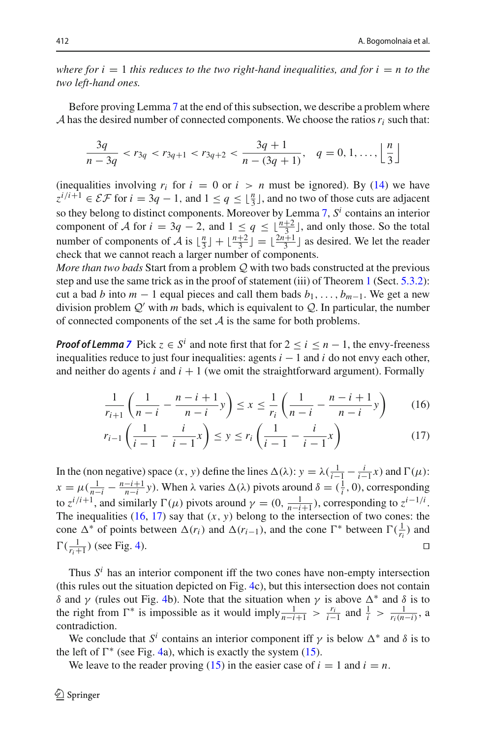*where for i*  $= 1$  *this reduces to the two right-hand inequalities, and for i*  $= n$  *to the two left-hand ones.*

Before proving Lemma [7](#page-16-3) at the end of this subsection, we describe a problem where *A* has the desired number of connected components. We choose the ratios  $r_i$  such that:

$$
\frac{3q}{n-3q} < r_{3q} < r_{3q+1} < r_{3q+2} < \frac{3q+1}{n-(3q+1)}, \quad q = 0, 1, \dots, \left\lfloor \frac{n}{3} \right\rfloor
$$

(inequalities involving  $r_i$  for  $i = 0$  or  $i > n$  must be ignored). By [\(14\)](#page-16-4) we have  $z^{i/i+1} \in \mathcal{EF}$  for  $i = 3q - 1$ , and  $1 \le q \le \lfloor \frac{n}{3} \rfloor$ , and no two of those cuts are adjacent so they belong to distinct components. Moreover by Lemma [7,](#page-16-3) *S<sup>i</sup>* contains an interior component of *A* for  $i = 3q - 2$ , and  $1 \le q \le \lfloor \frac{n+2}{3} \rfloor$ , and only those. So the total number of components of *A* is  $\lfloor \frac{n}{3} \rfloor + \lfloor \frac{n+2}{3} \rfloor = \lfloor \frac{2n+1}{3} \rfloor$  as desired. We let the reader check that we cannot reach a larger number of components.

*More than two bads* Start from a problem *Q* with two bads constructed at the previous step and use the same trick as in the proof of statement (iii) of Theorem [1](#page-9-0) (Sect. [5.3.2\)](#page-13-2): cut a bad *b* into  $m - 1$  equal pieces and call them bads  $b_1, \ldots, b_{m-1}$ . We get a new division problem  $Q'$  with *m* bads, which is equivalent to  $Q$ . In particular, the number of connected components of the set *A* is the same for both problems.

*Proof of Lemma [7](#page-16-3)* Pick  $z \in S^i$  and note first that for  $2 \le i \le n - 1$ , the envy-freeness inequalities reduce to just four inequalities: agents  $i - 1$  and  $i$  do not envy each other, and neither do agents  $i$  and  $i + 1$  (we omit the straightforward argument). Formally

<span id="page-17-0"></span>
$$
\frac{1}{r_{i+1}} \left( \frac{1}{n-i} - \frac{n-i+1}{n-i} y \right) \le x \le \frac{1}{r_i} \left( \frac{1}{n-i} - \frac{n-i+1}{n-i} y \right) \tag{16}
$$

$$
r_{i-1}\left(\frac{1}{i-1} - \frac{i}{i-1}x\right) \le y \le r_i\left(\frac{1}{i-1} - \frac{i}{i-1}x\right) \tag{17}
$$

In the (non negative) space  $(x, y)$  define the lines  $\Delta(\lambda): y = \lambda(\frac{1}{i-1} - \frac{i}{i-1}x)$  and  $\Gamma(\mu):$  $x = \mu(\frac{1}{n-i} - \frac{n-i+1}{n-i}y)$ . When  $\lambda$  varies  $\Delta(\lambda)$  pivots around  $\delta = (\frac{1}{i}, 0)$ , corresponding to  $z^{i/i+1}$ , and similarly  $\Gamma(\mu)$  pivots around  $\gamma = (0, \frac{1}{n-i+1})$ , corresponding to  $z^{i-1/i}$ . The inequalities  $(16, 17)$  $(16, 17)$  $(16, 17)$  say that  $(x, y)$  belong to the intersection of two cones: the cone  $\Delta^*$  of points between  $\Delta(r_i)$  and  $\Delta(r_{i-1})$ , and the cone  $\Gamma^*$  between  $\Gamma(\frac{1}{r_i})$  and  $\Gamma(\frac{1}{r_i+1})$  (see Fig. [4\)](#page-18-0).

Thus  $S<sup>i</sup>$  has an interior component iff the two cones have non-empty intersection (this rules out the situation depicted on Fig. [4c](#page-18-0)), but this intersection does not contain δ and γ (rules out Fig. [4b](#page-18-0)). Note that the situation when γ is above  $\Delta^*$  and δ is to the right from  $\Gamma^*$  is impossible as it would imply  $\frac{1}{n-i+1} > \frac{r_i}{i-1}$  and  $\frac{1}{i} > \frac{1}{r_i(n-i)}$ , a contradiction.

We conclude that  $S^i$  contains an interior component iff  $\gamma$  is below  $\Delta^*$  and  $\delta$  is to the left of  $\Gamma^*$  (see Fig. [4a](#page-18-0)), which is exactly the system [\(15\)](#page-16-5).

We leave to the reader proving  $(15)$  in the easier case of  $i = 1$  and  $i = n$ .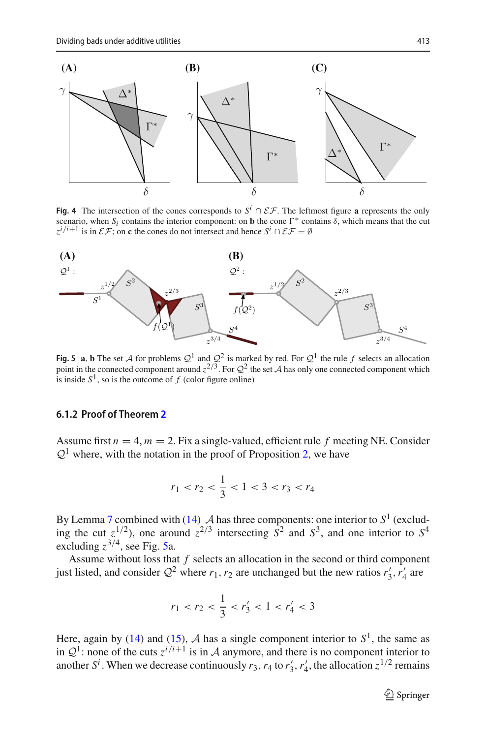

<span id="page-18-0"></span>**Fig. 4** The intersection of the cones corresponds to  $S^i \cap \mathcal{EF}$ . The leftmost figure **a** represents the only scenario, when *S<sub>i</sub>* contains the interior component: on **b** the cone  $\Gamma^*$  contains  $\delta$ , which means that the cut  $z^{i/i+1}$  is in  $\mathcal{EF}$ ; on **c** the cones do not intersect and hence  $S^i \cap \mathcal{EF} = \emptyset$ 



<span id="page-18-1"></span>**Fig. 5 a**, **b** The set *A* for problems  $Q^1$  and  $Q^2$  is marked by red. For  $Q^1$  the rule *f* selects an allocation point in the connected component around  $z^{2/3}$ . For  $\mathcal{Q}^2$  the set *A* has only one connected component which is inside  $S^1$ , so is the outcome of  $f$  (color figure online)

#### **6.1.2 Proof of Theorem [2](#page-15-1)**

Assume first  $n = 4$ ,  $m = 2$ . Fix a single-valued, efficient rule f meeting NE. Consider  $Q<sup>1</sup>$  where, with the notation in the proof of Proposition [2,](#page-16-0) we have

$$
r_1 < r_2 < \frac{1}{3} < 1 < 3 < r_3 < r_4
$$

By Lemma [7](#page-16-3) combined with  $(14)$  *A* has three components: one interior to  $S^1$  (excluding the cut  $z^{1/2}$ ), one around  $z^{2/3}$  intersecting  $S^2$  and  $S^3$ , and one interior to  $S^4$ excluding  $z^{3/4}$ , see Fig. [5a](#page-18-1).

Assume without loss that *f* selects an allocation in the second or third component just listed, and consider  $Q^2$  where  $r_1, r_2$  are unchanged but the new ratios  $r'_3, r'_4$  are

$$
r_1 < r_2 < \frac{1}{3} < r_3' < 1 < r_4' < 3
$$

Here, again by [\(14\)](#page-16-4) and [\(15\)](#page-16-5),  $A$  has a single component interior to  $S<sup>1</sup>$ , the same as in  $Q^1$ : none of the cuts  $z^{i/i+1}$  is in *A* anymore, and there is no component interior to another  $S^i$ . When we decrease continuously  $r_3$ ,  $r_4$  to  $r'_3$ ,  $r'_4$ , the allocation  $z^{1/2}$  remains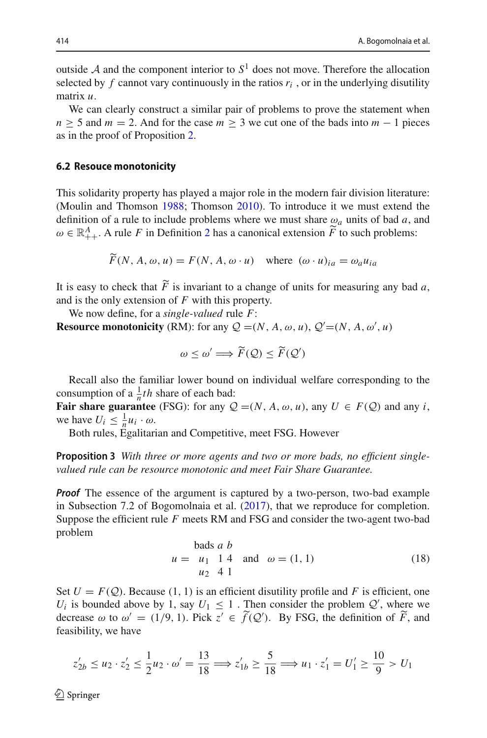outside  $A$  and the component interior to  $S<sup>1</sup>$  does not move. Therefore the allocation selected by  $f$  cannot vary continuously in the ratios  $r_i$ , or in the underlying disutility matrix *u*.

We can clearly construct a similar pair of problems to prove the statement when  $n \geq 5$  and  $m = 2$ . And for the case  $m \geq 3$  we cut one of the bads into  $m - 1$  pieces as in the proof of Proposition [2.](#page-16-0)

#### **6.2 Resouce monotonicity**

This solidarity property has played a major role in the modern fair division literature: (Moulin and Thomso[n](#page-22-22) [1988](#page-22-22); Thomso[n](#page-22-23) [2010\)](#page-22-23). To introduce it we must extend the definition of a rule to include problems where we must share  $\omega_a$  units of bad *a*, and  $\omega \in \mathbb{R}^A_{++}$ . A rule *F* in Definition [2](#page-5-1) has a canonical extension  $\widetilde{F}$  to such problems:

$$
\widetilde{F}(N, A, \omega, u) = F(N, A, \omega \cdot u)
$$
 where  $(\omega \cdot u)_{ia} = \omega_a u_{ia}$ 

It is easy to check that  $F$  is invariant to a change of units for measuring any bad  $a$ , and is the only extension of *F* with this property.

We now define, for a *single-valued* rule *F*: **Resource monotonicity** (RM): for any  $\mathcal{Q} = (N, A, \omega, u), \mathcal{Q}' = (N, A, \omega', u)$ 

$$
\omega \leq \omega' \Longrightarrow \widetilde{F}(\mathcal{Q}) \leq \widetilde{F}(\mathcal{Q}')
$$

Recall also the familiar lower bound on individual welfare corresponding to the consumption of a  $\frac{1}{n}$ *th* share of each bad:

**Fair share guarantee** (FSG): for any  $Q = (N, A, \omega, u)$ , any  $U \in F(Q)$  and any *i*, we have  $U_i \leq \frac{1}{n} u_i \cdot \omega$ .

<span id="page-19-0"></span>Both rules, Egalitarian and Competitive, meet FSG. However

**Proposition 3** *With three or more agents and two or more bads, no efficient singlevalued rule can be resource monotonic and meet Fair Share Guarantee.*

*Proof* The essence of the argument is captured by a two-person, two-bad example in Subsection 7.2 of Bogomolnaia et al[.](#page-22-8) [\(2017](#page-22-8)), that we reproduce for completion. Suppose the efficient rule *F* meets RM and FSG and consider the two-agent two-bad problem

$$
u = u1 1 4 and ω = (1, 1)
$$
  
 
$$
u2 4 1
$$
 (18)

Set  $U = F(Q)$ . Because (1, 1) is an efficient disutility profile and F is efficient, one *U<sub>i</sub>* is bounded above by 1, say  $U_1 \leq 1$ . Then consider the problem  $Q'$ , where we decrease  $\omega$  to  $\omega' = (1/9, 1)$ . Pick  $z' \in f(Q')$ . By FSG, the definition of *F*, and feasibility, we have

$$
z'_{2b} \le u_2 \cdot z'_2 \le \frac{1}{2} u_2 \cdot \omega' = \frac{13}{18} \implies z'_{1b} \ge \frac{5}{18} \implies u_1 \cdot z'_1 = U'_1 \ge \frac{10}{9} > U_1
$$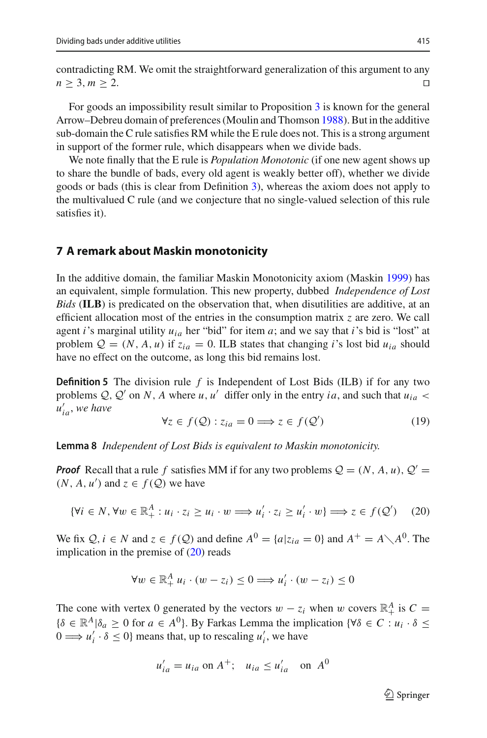contradicting RM. We omit the straightforward generalization of this argument to any  $n \geq 3, m \geq 2.$ 

For goods an impossibility result similar to Proposition [3](#page-19-0) is known for the general Arrow–Debreu domain of preferences (Moulin and Thomso[n](#page-22-22) [1988](#page-22-22)). But in the additive sub-domain the C rule satisfies RM while the E rule does not. This is a strong argument in support of the former rule, which disappears when we divide bads.

We note finally that the E rule is *Population Monotonic* (if one new agent shows up to share the bundle of bads, every old agent is weakly better off), whether we divide goods or bads (this is clear from Definition [3\)](#page-5-2), whereas the axiom does not apply to the multivalued C rule (and we conjecture that no single-valued selection of this rule satisfies it).

### <span id="page-20-0"></span>**7 A remark about Maskin monotonicity**

In the additive domain, the familiar Maskin Monotonicity axiom (Maski[n](#page-22-24) [1999\)](#page-22-24) has an equivalent, simple formulation. This new property, dubbed *Independence of Lost Bids* (**ILB**) is predicated on the observation that, when disutilities are additive, at an efficient allocation most of the entries in the consumption matrix *z* are zero. We call agent *i*'s marginal utility  $u_{ia}$  her "bid" for item *a*; and we say that *i*'s bid is "lost" at problem  $Q = (N, A, u)$  if  $z_{ia} = 0$ . ILB states that changing *i*'s lost bid  $u_{ia}$  should have no effect on the outcome, as long this bid remains lost.

**Definition 5** The division rule *f* is Independent of Lost Bids (ILB) if for any two problems  $Q, Q'$  on *N*, *A* where *u*, *u'* differ only in the entry *ia*, and such that  $u_{ia}$ *u ia*, *we have*

<span id="page-20-2"></span>
$$
\forall z \in f(\mathcal{Q}) : z_{ia} = 0 \Longrightarrow z \in f(\mathcal{Q}') \tag{19}
$$

**Lemma 8** *Independent of Lost Bids is equivalent to Maskin monotonicity.*

*Proof* Recall that a rule f satisfies MM if for any two problems  $Q = (N, A, u), Q' =$  $(N, A, u')$  and  $z \in f(Q)$  we have

<span id="page-20-1"></span>
$$
\{\forall i \in N, \forall w \in \mathbb{R}_+^A : u_i \cdot z_i \ge u_i \cdot w \Longrightarrow u'_i \cdot z_i \ge u'_i \cdot w\} \Longrightarrow z \in f(\mathcal{Q}') \tag{20}
$$

We fix  $Q, i \in N$  and  $z \in f(Q)$  and define  $A^0 = \{a | z_{ia} = 0\}$  and  $A^+ = A \setminus A^0$ . The implication in the premise of [\(20\)](#page-20-1) reads

$$
\forall w \in \mathbb{R}_+^A u_i \cdot (w - z_i) \leq 0 \Longrightarrow u'_i \cdot (w - z_i) \leq 0
$$

The cone with vertex 0 generated by the vectors  $w - z_i$  when w covers  $\mathbb{R}^A_+$  is  $C =$  $\{\delta \in \mathbb{R}^A | \delta_a \geq 0 \text{ for } a \in A^0\}$ . By Farkas Lemma the implication  $\{\forall \delta \in C : u_i \cdot \delta \leq 0\}$  $0 \Longrightarrow u'_i \cdot \delta \leq 0$ } means that, up to rescaling  $u'_i$ , we have

$$
u'_{ia} = u_{ia} \text{ on } A^+; \quad u_{ia} \le u'_{ia} \quad \text{on } A^0
$$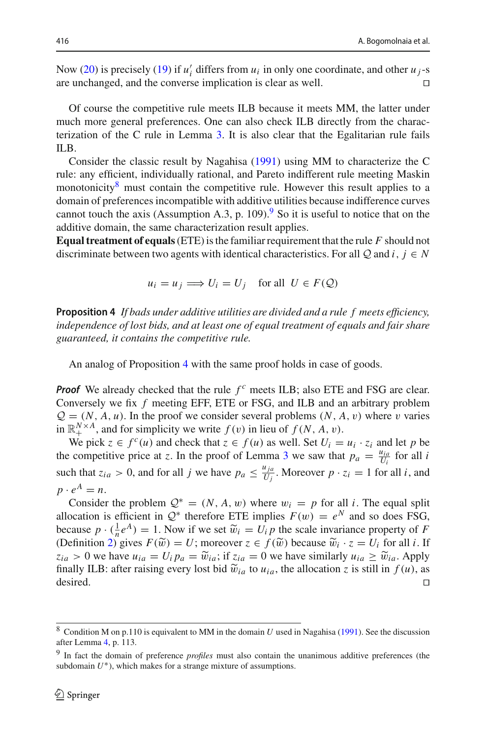Now [\(20\)](#page-20-1) is precisely [\(19\)](#page-20-2) if  $u'_i$  differs from  $u_i$  in only one coordinate, and other  $u_j$ -s are unchanged, and the converse implication is clear as well.  $\Box$ 

Of course the competitive rule meets ILB because it meets MM, the latter under much more general preferences. One can also check ILB directly from the characterization of the C rule in Lemma [3.](#page-6-5) It is also clear that the Egalitarian rule fails ILB.

Consider the classic result by Nagahis[a](#page-22-19) [\(1991\)](#page-22-19) using MM to characterize the C rule: any efficient, individually rational, and Pareto indifferent rule meeting Maskin monotonicity $\delta$  must contain the competitive rule. However this result applies to a domain of preferences incompatible with additive utilities because indifference curves cannot touch the axis (Assumption A.3, p. 10[9](#page-21-2)).<sup>9</sup> So it is useful to notice that on the additive domain, the same characterization result applies.

**Equal treatment of equals**(ETE) is the familiar requirement that the rule *F* should not discriminate between two agents with identical characteristics. For all  $Q$  and  $i, j \in N$ 

$$
u_i = u_j \Longrightarrow U_i = U_j \quad \text{for all } U \in F(\mathcal{Q})
$$

<span id="page-21-0"></span>**Proposition 4** *If bads under additive utilities are divided and a rule f meets efficiency, independence of lost bids, and at least one of equal treatment of equals and fair share guaranteed, it contains the competitive rule.*

An analog of Proposition [4](#page-21-0) with the same proof holds in case of goods.

*Proof* We already checked that the rule  $f^c$  meets ILB; also ETE and FSG are clear. Conversely we fix *f* meeting EFF, ETE or FSG, and ILB and an arbitrary problem  $Q = (N, A, u)$ . In the proof we consider several problems  $(N, A, v)$  where v varies in  $\mathbb{R}^{N \times A}_{+}$ , and for simplicity we write  $f(v)$  in lieu of  $f(N, A, v)$ .

We pick  $z \in f^c(u)$  and check that  $z \in f(u)$  as well. Set  $U_i = u_i \cdot z_i$  and let *p* be the competitive price at *z*. In the proof of Lemma [3](#page-6-5) we saw that  $p_a = \frac{u_{ia}}{U_i}$  for all *i* such that  $z_{ia} > 0$ , and for all *j* we have  $p_a \leq \frac{u_{ja}}{U_j}$ . Moreover  $p \cdot z_i = 1$  for all *i*, and  $p \cdot e^A = n$ .

Consider the problem  $Q^* = (N, A, w)$  where  $w_i = p$  for all *i*. The equal split allocation is efficient in  $Q^*$  therefore ETE implies  $F(w) = e^N$  and so does FSG, because  $p \cdot (\frac{1}{n}e^A) = 1$ . Now if we set  $\widetilde{w}_i = U_i p$  the scale invariance property of *F*<br>(Definition 2) gives  $F(\widetilde{w}) = U_i$ : moreover  $z \in f(\widetilde{w})$  because  $\widetilde{w}_i \cdot z = U_i$  for all *i* H (Definition [2\)](#page-5-1) gives  $F(\tilde{w}) = U$ ; moreover  $z \in f(\tilde{w})$  because  $\tilde{w}_i \cdot z = U_i$  for all *i*. If  $z_{ia} > 0$  we have  $u_{ia} = U_i p_a = \tilde{w}_{ia}$ ; if  $z_{ia} = 0$  we have similarly  $u_{ia} \ge \tilde{w}_{ia}$ . Apply finally ILB: after raising every lost bid  $\tilde{w}_{ia}$  to  $u_{ia}$ , the allocation *z* is still in  $f(u)$ , as desired. desired.  $\Box$ 

<span id="page-21-1"></span><sup>8</sup> Condition M on p.110 is equivalent to MM in the domain *U* used in Nagahis[a](#page-22-19) [\(1991\)](#page-22-19). See the discussion after Lemma [4,](#page-11-1) p. 113.

<span id="page-21-2"></span><sup>9</sup> In fact the domain of preference *profiles* must also contain the unanimous additive preferences (the subdomain  $U^*$ ), which makes for a strange mixture of assumptions.